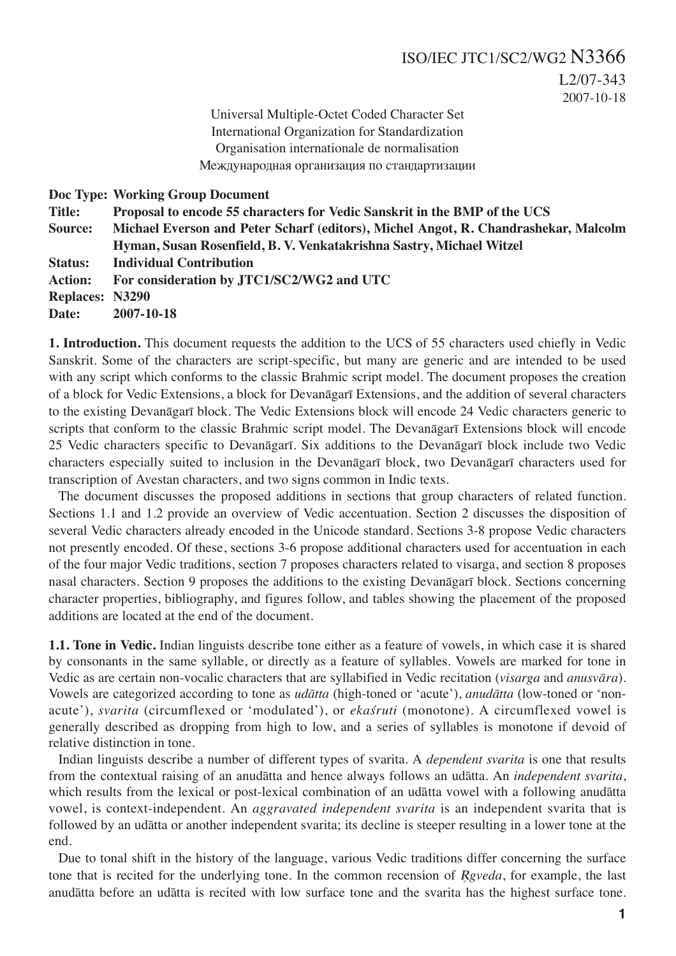Universal Multiple-Octet Coded Character Set International Organization for Standardization Organisation internationale de normalisation Международная организация по стандартизации

**Doc Type: Working Group Document Title: Proposal to encode 55 characters for Vedic Sanskrit in the BMP of the UCS Source: Michael Everson and Peter Scharf (editors), Michel Angot, R. Chandrashekar, Malcolm Hyman, Susan Rosenfield, B. V. Venkatakrishna Sastry, Michael Witzel Status: Individual Contribution Action: For consideration by JTC1/SC2/WG2 and UTC Replaces: N3290 Date: 2007-10-18**

**1. Introduction.** This document requests the addition to the UCS of 55 characters used chiefly in Vedic Sanskrit. Some of the characters are script-specific, but many are generic and are intended to be used with any script which conforms to the classic Brahmic script model. The document proposes the creation of a block for Vedic Extensions, a block for Devanāgarī Extensions, and the addition of several characters to the existing Devanāgarī block. The Vedic Extensions block will encode 24 Vedic characters generic to scripts that conform to the classic Brahmic script model. The Devanāgarī Extensions block will encode 25 Vedic characters specific to Devanāgarī. Six additions to the Devanāgarī block include two Vedic characters especially suited to inclusion in the Devanāgarī block, two Devanāgarī characters used for transcription of Avestan characters, and two signs common in Indic texts.

The document discusses the proposed additions in sections that group characters of related function. Sections 1.1 and 1.2 provide an overview of Vedic accentuation. Section 2 discusses the disposition of several Vedic characters already encoded in the Unicode standard. Sections 3-8 propose Vedic characters not presently encoded. Of these, sections 3-6 propose additional characters used for accentuation in each of the four major Vedic traditions, section 7 proposes characters related to visarga, and section 8 proposes nasal characters. Section 9 proposes the additions to the existing Devanāgarī block. Sections concerning character properties, bibliography, and figures follow, and tables showing the placement of the proposed additions are located at the end of the document.

**1.1. Tone in Vedic.** Indian linguists describe tone either as a feature of vowels, in which case it is shared by consonants in the same syllable, or directly as a feature of syllables. Vowels are marked for tone in Vedic as are certain non-vocalic characters that are syllabified in Vedic recitation (*visarga* and *anusvara*). Vowels are categorized according to tone as *udātta* (high-toned or 'acute'), *anudātta* (low-toned or 'nonacute'), *svarita* (circumflexed or 'modulated'), or *ekas<sup>ruti</sup>* (monotone). A circumflexed vowel is generally described as dropping from high to low, and a series of syllables is monotone if devoid of relative distinction in tone.

Indian linguists describe a number of different types of svarita. A *dependent svarita* is one that results from the contextual raising of an anudātta and hence always follows an udātta. An *independent svarita*, which results from the lexical or post-lexical combination of an udatta vowel with a following anudatta vowel, is context-independent. An *aggravated independent svarita* is an independent svarita that is followed by an udatta or another independent svarita; its decline is steeper resulting in a lower tone at the end.

Due to tonal shift in the history of the language, various Vedic traditions differ concerning the surface tone that is recited for the underlying tone. In the common recension of *Rgveda*, for example, the last anudātta before an udātta is recited with low surface tone and the svarita has the highest surface tone.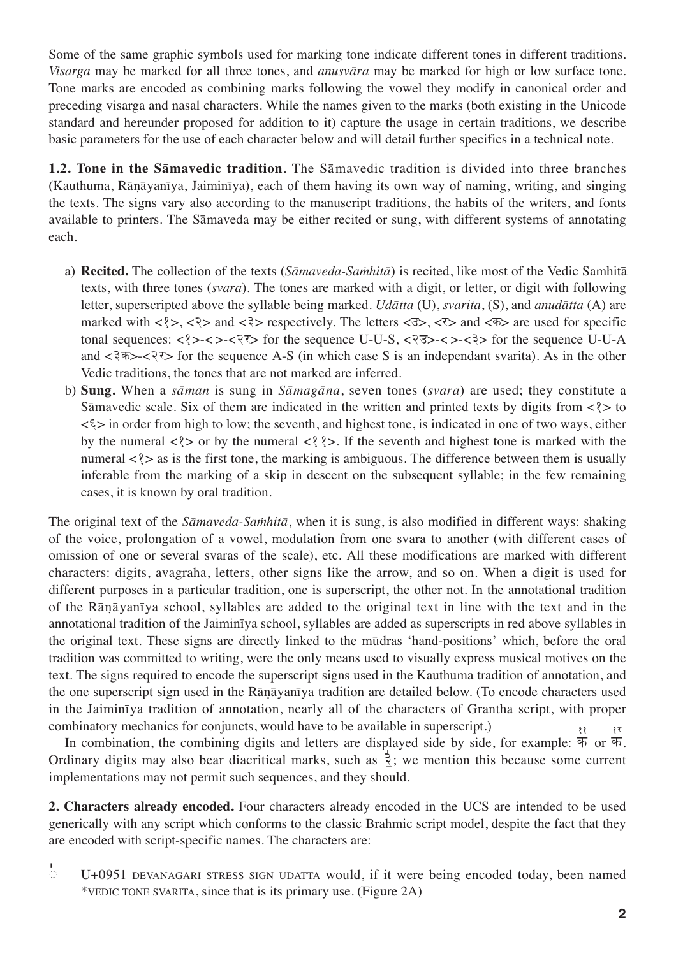Some of the same graphic symbols used for marking tone indicate different tones in different traditions. *Visarga* may be marked for all three tones, and *anusvara* may be marked for high or low surface tone. Tone marks are encoded as combining marks following the vowel they modify in canonical order and preceding visarga and nasal characters. While the names given to the marks (both existing in the Unicode standard and hereunder proposed for addition to it) capture the usage in certain traditions, we describe basic parameters for the use of each character below and will detail further specifics in a technical note.

**1.2. Tone in the Samavedic tradition**. The Samavedic tradition is divided into three branches (Kauthuma, Rāṇāyanīya, Jaiminīya), each of them having its own way of naming, writing, and singing the texts. The signs vary also according to the manuscript traditions, the habits of the writers, and fonts available to printers. The Sāmaveda may be either recited or sung, with different systems of annotating each.

- a) **Recited.** The collection of the texts (*Sāmaveda-Samhitā*) is recited, like most of the Vedic Samhitā texts, with three tones (*svara*). The tones are marked with a digit, or letter, or digit with following letter, superscripted above the syllable being marked. *Udātta* (U), *svarita*, (S), and *anudātta* (A) are marked with <Á>, <Ë> and <È> respectively. The letters <उ>, <र> and <क> are used for specific tonal sequences:  $\langle \rangle$  -< > -<  $\rangle$  for the sequence U-U-S,  $\langle \rangle$   $\langle \rangle$  -< > -<  $\rangle$  for the sequence U-U-A and  $\langle \overline{\xi} \rangle$  are  $\langle \overline{\xi} \rangle$  for the sequence A-S (in which case S is an independant svarita). As in the other Vedic traditions, the tones that are not marked are inferred.
- b) **Sung.** When a *sāman* is sung in *Sāmagāna*, seven tones (*svara*) are used; they constitute a Sāmavedic scale. Six of them are indicated in the written and printed texts by digits from  $\langle\$  $\langle \xi \rangle$  in order from high to low; the seventh, and highest tone, is indicated in one of two ways, either by the numeral  $\langle\$  or by the numeral  $\langle\$ \rangle. If the seventh and highest tone is marked with the numeral  $\langle\$  as is the first tone, the marking is ambiguous. The difference between them is usually inferable from the marking of a skip in descent on the subsequent syllable; in the few remaining cases, it is known by oral tradition.

The original text of the *Sāmaveda-Samhitā*, when it is sung, is also modified in different ways: shaking of the voice, prolongation of a vowel, modulation from one svara to another (with different cases of omission of one or several svaras of the scale), etc. All these modifications are marked with different characters: digits, avagraha, letters, other signs like the arrow, and so on. When a digit is used for different purposes in a particular tradition, one is superscript, the other not. In the annotational tradition of the Ranayaniya school, syllables are added to the original text in line with the text and in the annotational tradition of the Jaiminiva school, syllables are added as superscripts in red above syllables in the original text. These signs are directly linked to the mudras 'hand-positions' which, before the oral tradition was committed to writing, were the only means used to visually express musical motives on the text. The signs required to encode the superscript signs used in the Kauthuma tradition of annotation, and the one superscript sign used in the Ranavaniva tradition are detailed below. (To encode characters used in the Jaimini ya tradition of annotation, nearly all of the characters of Grantha script, with proper combinatory mechanics for conjuncts, would have to be available in superscript.)

In combination, the combining digits and letters are displayed side by side, for example:  $\overrightarrow{\Phi}$  or  $\overrightarrow{\Phi}$ . Ordinary digits may also bear diacritical marks, such as  $\frac{3}{2}$ ; we mention this because some current implementations may not permit such sequences, and they should.

**2. Characters already encoded.** Four characters already encoded in the UCS are intended to be used generically with any script which conforms to the classic Brahmic script model, despite the fact that they are encoded with script-specific names. The characters are:

U+0951 DEVANAGARI STRESS SIGN UDATTA would, if it were being encoded today, been named \*VEDIC TONE SVARITA, since that is its primary use. (Figure 2A)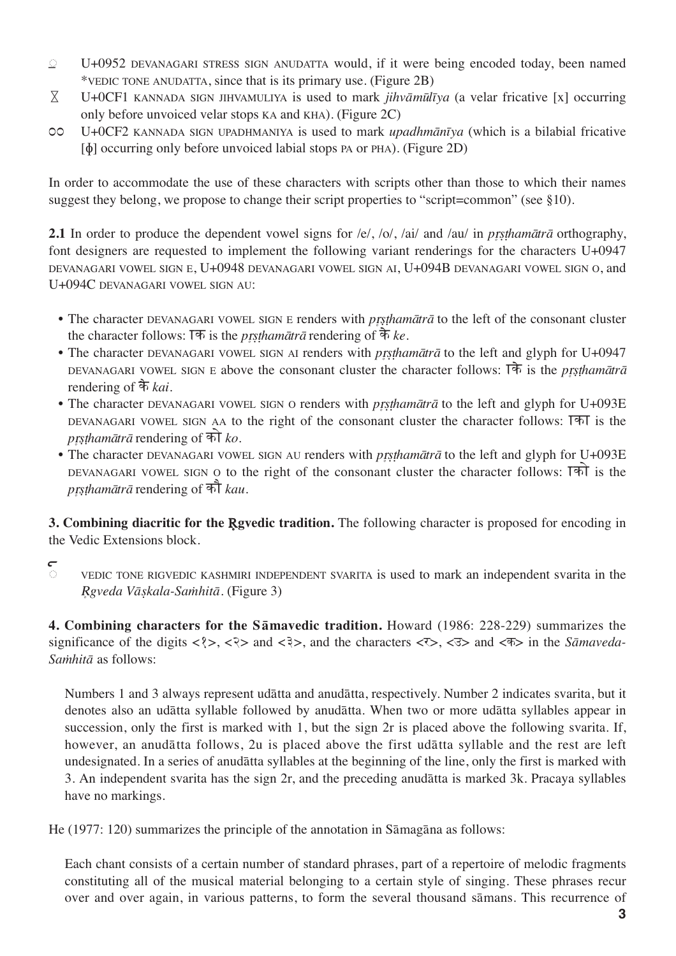- @" U+0952 DEVANAGARI STRESS SIGN ANUDATTA would, if it were being encoded today, been named \*VEDIC TONE ANUDATTA, since that is its primary use. (Figure 2B)
- $\overline{X}$  U+0CF1 KANNADA SIGN JIHVAMULIYA is used to mark *jihvāmūlīva* (a velar fricative [x] occurring only before unvoiced velar stops KA and KHA). (Figure 2C)
- $OO$  U+0CF2 KANNADA SIGN UPADHMANIYA is used to mark *upadhmānīya* (which is a bilabial fricative [ $\phi$ ] occurring only before unvoiced labial stops PA or PHA). (Figure 2D)

In order to accommodate the use of these characters with scripts other than those to which their names suggest they belong, we propose to change their script properties to "script=common" (see §10).

**2.1** In order to produce the dependent vowel signs for /e/, /o/, /ai/ and /au/ in *p<sub>I</sub>sthamātrā* orthography, font designers are requested to implement the following variant renderings for the characters U+0947 DEVANAGARI VOWEL SIGN E, U+0948 DEVANAGARI VOWEL SIGN AI, U+094B DEVANAGARI VOWEL SIGN O, and U+094C DEVANAGARI VOWEL SIGN AU:

- The character DEVANAGARI VOWEL SIGN E renders with *prophamatra* to the left of the consonant cluster the character follows:  $\overline{\mathsf{F}}$  is the *p<sub>i</sub>*sthamatra<sup> $\overline{\mathsf{a}}$ </sup> rendering of  $\overline{\mathsf{F}}$  *ke*.
- The character DEVANAGARI VOWEL SIGN AI renders with *prsthamātrā* to the left and glyph for U+0947 DEVANAGARI VOWEL SIGN E above the consonant cluster the character follows:  $\vec{\theta}$  is the *p<sub>s</sub>thamatra* rendering of कै *kai*.
- The character DEVANAGARI VOWEL SIGN O renders with *prsthamātrā* to the left and glyph for U+093E DEVANAGARI VOWEL SIGN AA to the right of the consonant cluster the character follows:  $\overline{F}$  is the  $p$ *rṣṭhamātrā* rendering of को *ko*.
- The character DEVANAGARI VOWEL SIGN AU renders with *p<sub>i</sub>*sthamātrā to the left and glyph for U+093E DEVANAGARI VOWEL SIGN O to the right of the consonant cluster the character follows:  $\overrightarrow{F}$  is the *pṛṣṭhamātrā* rendering of कौ *kau*.

**3. Combining diacritic for the** Ë**gvedic tradition.** The following character is proposed for encoding in the Vedic Extensions block.

- @
	- VEDIC TONE RIGVEDIC KASHMIRI INDEPENDENT SVARITA is used to mark an independent svarita in the  $R$ *gveda Vāskala-Samhitā*. (Figure 3)

**4. Combining characters for the Sāmavedic tradition.** Howard (1986: 228-229) summarizes the significance of the digits  $\langle\langle\rangle, \langle\langle\rangle\rangle$  and  $\langle\langle\rangle, \langle\rangle$  and the characters  $\langle\langle\langle\rangle, \langle\langle\rangle\rangle\rangle$  and  $\langle\langle\langle\rangle, \langle\rangle)$  in the *Sāmaveda-Samhitā* as follows:

Numbers 1 and 3 always represent udātta and anudātta, respectively. Number 2 indicates svarita, but it denotes also an udātta syllable followed by anudātta. When two or more udātta syllables appear in succession, only the first is marked with 1, but the sign 2r is placed above the following svarita. If, however, an anudātta follows, 2u is placed above the first udātta syllable and the rest are left undesignated. In a series of anudatta syllables at the beginning of the line, only the first is marked with 3. An independent svarita has the sign 2r, and the preceding anudātta is marked 3k. Pracaya syllables have no markings.

He  $(1977: 120)$  summarizes the principle of the annotation in Samagana as follows:

Each chant consists of a certain number of standard phrases, part of a repertoire of melodic fragments constituting all of the musical material belonging to a certain style of singing. These phrases recur over and over again, in various patterns, to form the several thousand sāmans. This recurrence of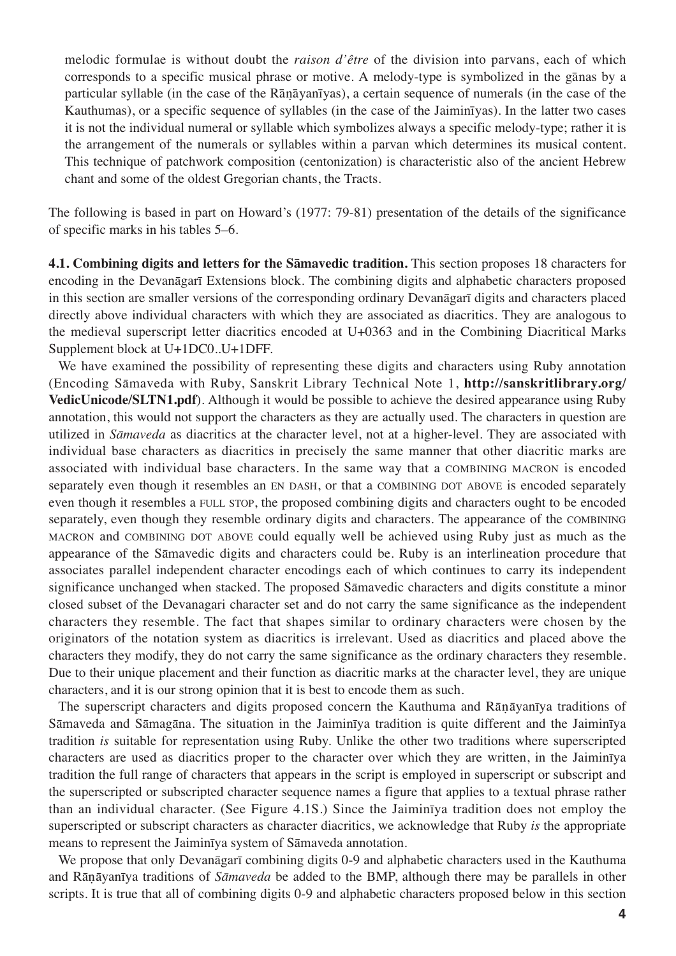melodic formulae is without doubt the *raison d'être* of the division into parvans, each of which corresponds to a specific musical phrase or motive. A melody-type is symbolized in the ganas by a particular syllable (in the case of the Rānāyanīyas), a certain sequence of numerals (in the case of the Kauthumas), or a specific sequence of syllables (in the case of the Jaimini yas). In the latter two cases it is not the individual numeral or syllable which symbolizes always a specific melody-type; rather it is the arrangement of the numerals or syllables within a parvan which determines its musical content. This technique of patchwork composition (centonization) is characteristic also of the ancient Hebrew chant and some of the oldest Gregorian chants, the Tracts.

The following is based in part on Howard's (1977: 79-81) presentation of the details of the significance of specific marks in his tables 5–6.

**4.1. Combining digits and letters for the Samavedic tradition.** This section proposes 18 characters for encoding in the Devanāgarī Extensions block. The combining digits and alphabetic characters proposed in this section are smaller versions of the corresponding ordinary Devanāgarī digits and characters placed directly above individual characters with which they are associated as diacritics. They are analogous to the medieval superscript letter diacritics encoded at U+0363 and in the Combining Diacritical Marks Supplement block at U+1DC0..U+1DFF.

We have examined the possibility of representing these digits and characters using Ruby annotation (Encoding Sāmaveda with Ruby, Sanskrit Library Technical Note 1, **http://sanskritlibrary.org/ VedicUnicode/SLTN1.pdf**). Although it would be possible to achieve the desired appearance using Ruby annotation, this would not support the characters as they are actually used. The characters in question are utilized in *Sāmaveda* as diacritics at the character level, not at a higher-level. They are associated with individual base characters as diacritics in precisely the same manner that other diacritic marks are associated with individual base characters. In the same way that a COMBINING MACRON is encoded separately even though it resembles an EN DASH, or that a COMBINING DOT ABOVE is encoded separately even though it resembles a FULL STOP, the proposed combining digits and characters ought to be encoded separately, even though they resemble ordinary digits and characters. The appearance of the COMBINING MACRON and COMBINING DOT ABOVE could equally well be achieved using Ruby just as much as the appearance of the Sāmavedic digits and characters could be. Ruby is an interlineation procedure that associates parallel independent character encodings each of which continues to carry its independent significance unchanged when stacked. The proposed Sāmavedic characters and digits constitute a minor closed subset of the Devanagari character set and do not carry the same significance as the independent characters they resemble. The fact that shapes similar to ordinary characters were chosen by the originators of the notation system as diacritics is irrelevant. Used as diacritics and placed above the characters they modify, they do not carry the same significance as the ordinary characters they resemble. Due to their unique placement and their function as diacritic marks at the character level, they are unique characters, and it is our strong opinion that it is best to encode them as such.

The superscript characters and digits proposed concern the Kauthuma and Rānāyanīya traditions of Sāmaveda and Sāmagāna. The situation in the Jaiminīya tradition is quite different and the Jaiminīya tradition *is* suitable for representation using Ruby. Unlike the other two traditions where superscripted characters are used as diacritics proper to the character over which they are written, in the Jaiminīya tradition the full range of characters that appears in the script is employed in superscript or subscript and the superscripted or subscripted character sequence names a figure that applies to a textual phrase rather than an individual character. (See Figure 4.1S.) Since the Jaiminīya tradition does not employ the superscripted or subscript characters as character diacritics, we acknowledge that Ruby *is* the appropriate means to represent the Jaiminīya system of Sāmaveda annotation.

We propose that only Devanāgarī combining digits 0-9 and alphabetic characters used in the Kauthuma and Rān. āyanīya traditions of *Sāmaveda* be added to the BMP, although there may be parallels in other scripts. It is true that all of combining digits 0-9 and alphabetic characters proposed below in this section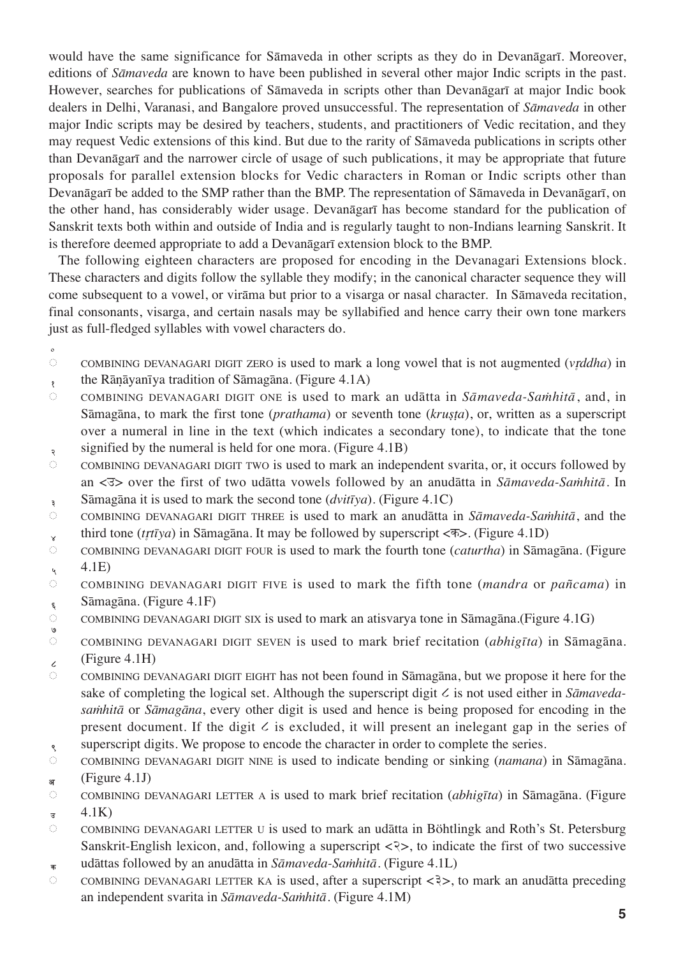would have the same significance for Sāmaveda in other scripts as they do in Devanāgarī. Moreover, editions of *Sāmaveda* are known to have been published in several other major Indic scripts in the past. However, searches for publications of Sāmaveda in scripts other than Devanāgarī at major Indic book dealers in Delhi, Varanasi, and Bangalore proved unsuccessful. The representation of *Sāmaveda* in other major Indic scripts may be desired by teachers, students, and practitioners of Vedic recitation, and they may request Vedic extensions of this kind. But due to the rarity of Sāmaveda publications in scripts other than Devanāgarī and the narrower circle of usage of such publications, it may be appropriate that future proposals for parallel extension blocks for Vedic characters in Roman or Indic scripts other than Devanāgarī be added to the SMP rather than the BMP. The representation of Sāmaveda in Devanāgarī, on the other hand, has considerably wider usage. Devanāgarī has become standard for the publication of Sanskrit texts both within and outside of India and is regularly taught to non-Indians learning Sanskrit. It is therefore deemed appropriate to add a Devanāgarī extension block to the BMP.

The following eighteen characters are proposed for encoding in the Devanagari Extensions block. These characters and digits follow the syllable they modify; in the canonical character sequence they will come subsequent to a vowel, or virāma but prior to a visarga or nasal character. In Sāmaveda recitation, final consonants, visarga, and certain nasals may be syllabified and hence carry their own tone markers just as full-fledged syllables with vowel characters do.

- COMBINING DEVANAGARI DIGIT ZERO is used to mark a long vowel that is not augmented (*vrddha*) in
- the Rānāyanīya tradition of Sāmagāna. (Figure  $4.1A$ )
- @ COMBINING DEVANAGARI DIGIT ONE is used to mark an udatta in *Samaveda-Samhita*, and, in Sāmagāna, to mark the first tone (*prathama*) or seventh tone (*krusta*), or, written as a superscript over a numeral in line in the text (which indicates a secondary tone), to indicate that the tone signified by the numeral is held for one mora. (Figure 4.1B)
- @ COMBINING DEVANAGARI DIGIT TWO is used to mark an independent svarita, or, it occurs followed by an < $\overline{\sigma}$  over the first of two udatta vowels followed by an anudatta in *Samaveda-Samhita*. In Sāmagāna it is used to mark the second tone  $(d\nu$ *itīya*). (Figure 4.1C)
- @ COMBINING DEVANAGARI DIGIT THREE is used to mark an anudatta in *Samaveda-Samhita*, and the third tone (*trt* $\bar{t}$ y*a*) in Sāmagāna. It may be followed by superscript  $\langle \bar{t} \rangle$ . (Figure 4.1D)
- $\frac{1}{x}$  combining Devanagaria and may be followed by superscript  $\langle \psi \rangle$ . (Figure 4.1D)<br>Combining Devanagari Digit Four is used to mark the fourth tone (*caturtha*) in Sāmagāna. (Figure 4.1E)
- ্ধ<br>্য COMBINING DEVANAGARI DIGIT FIVE is used to mark the fifth tone (*mandra* or *pañcama*) in
- Sāmagāna. (Figure 4.1F)
- ে<br>ত COMBINING DEVANAGARI DIGIT SIX is used to mark an atisvarya tone in Sāmagāna.(Figure  $4.1G$ )
- © COMBINING DEVANAGARI DIGIT SEVEN is used to mark brief recitation (*abhigīta*) in Sāmagāna. (Figure 4.1H)
- @ COMBINING DEVANAGARI DIGIT EIGHT has not been found in Samagana, but we propose it here for the sake of completing the logical set. Although the superscript digit  $\zeta$  is not used either in *Sāmavedasamhita* or *Samagana*, every other digit is used and hence is being proposed for encoding in the present document. If the digit  $\zeta$  is excluded, it will present an inelegant gap in the series of
- superscript digits. We propose to encode the character in order to complete the series. @
- COMBINING DEVANAGARI DIGIT NINE is used to indicate bending or sinking (*namana*) in Sāmagāna.
- (Figure 4.1J) अ<br>ं
- COMBINING DEVANAGARI LETTER A is used to mark brief recitation *(abhigīta)* in Sāmagāna. (Figure 4.1K)
- $\frac{1}{3}$  4.IK)<br>COMBINING DEVANAGARI LETTER U is used to mark an udatta in Böhtlingk and Roth's St. Petersburg Sanskrit-English lexicon, and, following a superscript  $\langle \cdot \rangle$ , to indicate the first of two successive
- udāttas followed by an anudātta in *Sāmaveda-Samhitā*. (Figure 4.1L)
- **a** udattas followed by an anudatta in Samaveda-Samhita. (Figure 4.1L)<br>COMBINING DEVANAGARI LETTER KA is used, after a superscript < $\ddot{\xi}$ >, to mark an anudātta preceding an independent svarita in *Sāmaveda-Samhitā*. (Figure 4.1M)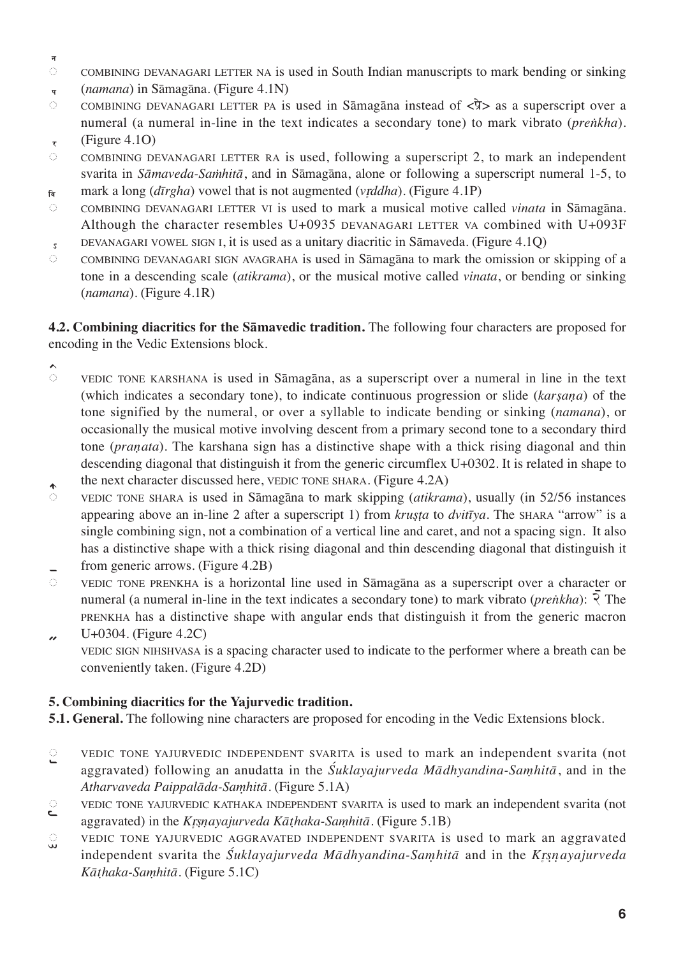- 
- @Ω COMBINING DEVANAGARI LETTER NA is used in South Indian manuscripts to mark bending or sinking
- (*namana*) in Sāmagāna. (Figure 4.1N)
- **EXECUTE:** COMBINING DEVANAGARI LETTER PA is used in Samagana instead of  $\langle \hat{\vec{x}} \rangle$  as a superscript over a ' numeral (a numeral in-line in the text indicates a secondary tone) to mark vibrato (*prencha*). (Figure 4.1O)
- $\frac{1}{2}$  (Figure 4.10)<br>
COMBINING DEVANAGARI LETTER RA is used, following a superscript 2, to mark an independent svarita in *Sāmaveda-Samhitā*, and in Sāmagāna, alone or following a superscript numeral 1-5, to
- mark a long (*dirgha*) vowel that is not augmented (*vrddha*). (Figure 4.1P) ि<br>वि
- COMBINING DEVANAGARI LETTER VI is used to mark a musical motive called *vinata* in Samagana. Although the character resembles U+0935 DEVANAGARI LETTER VA combined with U+093F
- DEVANAGARI VOWEL SIGN I, it is used as a unitary diacritic in Sāmaveda. (Figure 4.1Q)  $\frac{1}{5}$  DEVANAGARI VOWEL SIGN I, it is used as a unitary diacritic in Samaveda. (Figure 4.1Q)<br>COMBINING DEVANAGARI SIGN AVAGRAHA is used in Samagana to mark the omission or skipping of a
- tone in a descending scale (*atikrama*), or the musical motive called *vinata*, or bending or sinking (*namana*). (Figure 4.1R)

**4.2. Combining diacritics for the Samavedic tradition.** The following four characters are proposed for encoding in the Vedic Extensions block.

- 
- $\degree$  vEDIC TONE KARSHANA is used in Sāmagāna, as a superscript over a numeral in line in the text (which indicates a secondary tone), to indicate continuous progression or slide (*karsana*) of the tone signified by the numeral, or over a syllable to indicate bending or sinking (*namana*), or occasionally the musical motive involving descent from a primary second tone to a secondary third tone (*pranata*). The karshana sign has a distinctive shape with a thick rising diagonal and thin descending diagonal that distinguish it from the generic circumflex U+0302. It is related in shape to the next character discussed here, VEDIC TONE SHARA. (Figure 4.2A)
- $\hat{\mathcal{O}}$ VEDIC TONE SHARA is used in Sāmagāna to mark skipping (*atikrama*), usually (in 52/56 instances appearing above an in-line 2 after a superscript 1) from *krusta* to *dvittya*. The SHARA "arrow" is a single combining sign, not a combination of a vertical line and caret, and not a spacing sign. It also has a distinctive shape with a thick rising diagonal and thin descending diagonal that distinguish it
- from generic arrows. (Figure 4.2B)
- **EXECUTE OF A SEX VEDIC TONE PRENKHA is a horizontal line used in Samagana as a superscript over a character or** numeral (a numeral in-line in the text indicates a secondary tone) to mark vibrato (*prencha*):  $\sqrt{ }$  The PRENKHA has a distinctive shape with angular ends that distinguish it from the generic macron
- VEDIC SIGN NIHSHVASA is a spacing character used to indicate to the performer where a breath can be vertice is a spacing character used to indicate to the performer where a breath can be conveniently taken. (Figure 4.2D)

#### **5. Combining diacritics for the Yajurvedic tradition.**

**5.1. General.** The following nine characters are proposed for encoding in the Vedic Extensions block.

- @आ VEDIC TONE YAJURVEDIC INDEPENDENT SVARITA is used to mark an independent svarita (not aggravated) following an anudatta in the *Suklayajurveda Mādhyandina-Samhitā*, and in the *Atharvaveda Paippala¯da-Sam. hita¯*. (Figure 5.1A)
- @ VEDIC TONE YAJURVEDIC KATHAKA INDEPENDENT SVARITA is used to mark an independent svarita (not aggravated) in the *K*<sub>*fsnayajurveda Kāṭhaka-Samhitā*. (Figure 5.1B)</sub>
- WEDIC TONE YAJURVEDIC AGGRAVATED INDEPENDENT SVARITA is used to mark an aggravated *independent svarita the Śuklayajurveda Mādhyandina-Samhitā and in the Krsnayajurveda Kāthaka-Samhitā*. (Figure 5.1C)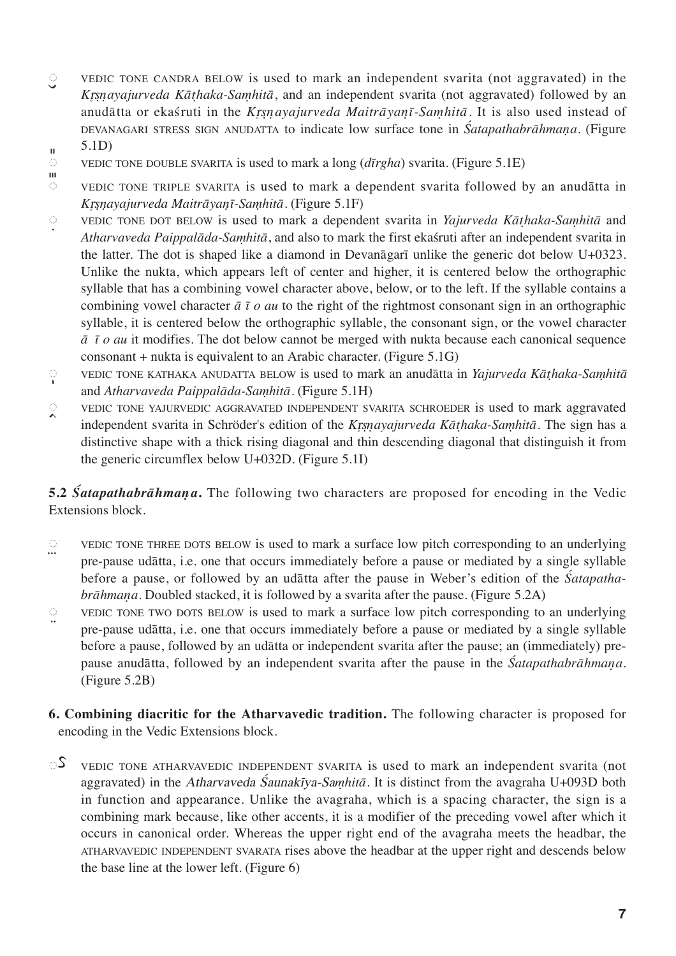- @ऊ VEDIC TONE CANDRA BELOW is used to mark an independent svarita (not aggravated) in the *Krsnayajurveda Kāthaka-Samhitā*, and an independent svarita (not aggravated) followed by an anudātta or ekaśruti in the *Krsnayajurveda Maitrāyanī-Samhitā*. It is also used instead of DEVANAGARI STRESS SIGN ANUDATTA to indicate low surface tone in *Satapathabrāhmana*. (Figure 5.1D)
- $\frac{3.1D}{m}$  VEDIC TONE DOUBLE SVARITA is used to mark a long (*dirgha*) svarita. (Figure 5.1E)
- **EXECUTE:** VEDIC TONE TRIPLE SVARITA is used to mark a dependent svarita followed by an anudatta in *Krsnayajurveda Maitrāyanī-Samhitā*. (Figure 5.1F)
- **EXTEDIC TONE DOT BELOW is used to mark a dependent svarita in** *Yajurveda Kāthaka-Samhitā* **and** *Atharvaveda Paippalāda-Samhitā*, and also to mark the first ekaśruti after an independent svarita in the latter. The dot is shaped like a diamond in Devanagari unlike the generic dot below  $U+0323$ . Unlike the nukta, which appears left of center and higher, it is centered below the orthographic syllable that has a combining vowel character above, below, or to the left. If the syllable contains a combining vowel character  $\bar{a}$   $\bar{a}$  *o au* to the right of the rightmost consonant sign in an orthographic syllable, it is centered below the orthographic syllable, the consonant sign, or the vowel character  $\bar{a}$   $\bar{i}$  *o au* it modifies. The dot below cannot be merged with nukta because each canonical sequence consonant + nukta is equivalent to an Arabic character. (Figure 5.1G)
- <sup>©</sup> VEDIC TONE KATHAKA ANUDATTA BELOW is used to mark an anudātta in *Yajurveda Kāthaka-Samhitā* and *Atharvaveda Paippalāda-Samhitā*. (Figure 5.1H)
- @उ VEDIC TONE YAJURVEDIC AGGRAVATED INDEPENDENT SVARITA SCHROEDER is used to mark aggravated independent svarita in Schröder's edition of the *Krsnayajurveda Kāthaka-Samhitā*. The sign has a distinctive shape with a thick rising diagonal and thin descending diagonal that distinguish it from the generic circumflex below U+032D. (Figure 5.1I)

**5.2 Satapathabrahmana.** The following two characters are proposed for encoding in the Vedic Extensions block.

- @ऍ VEDIC TONE THREE DOTS BELOW is used to mark a surface low pitch corresponding to an underlying pre-pause udatta, i.e. one that occurs immediately before a pause or mediated by a single syllable before a pause, or followed by an udatta after the pause in Weber's edition of the *Satapathabrāhmana*. Doubled stacked, it is followed by a svarita after the pause. (Figure 5.2A)
- @ऎ VEDIC TONE TWO DOTS BELOW is used to mark a surface low pitch corresponding to an underlying pre-pause udatta, i.e. one that occurs immediately before a pause or mediated by a single syllable before a pause, followed by an udatta or independent svarita after the pause; an (immediately) prepause anudātta, followed by an independent svarita after the pause in the *Śatapathabrāhmana*. (Figure 5.2B)
- **6. Combining diacritic for the Atharvavedic tradition.** The following character is proposed for encoding in the Vedic Extensions block.
- S vEDIC TONE ATHARVAVEDIC INDEPENDENT SVARITA is used to mark an independent svarita (not aggravated) in the Atharvaveda Śaunakīya-Samhitā. It is distinct from the avagraha U+093D both in function and appearance. Unlike the avagraha, which is a spacing character, the sign is a combining mark because, like other accents, it is a modifier of the preceding vowel after which it occurs in canonical order. Whereas the upper right end of the avagraha meets the headbar, the ATHARVAVEDIC INDEPENDENT SVARATA rises above the headbar at the upper right and descends below the base line at the lower left. (Figure 6)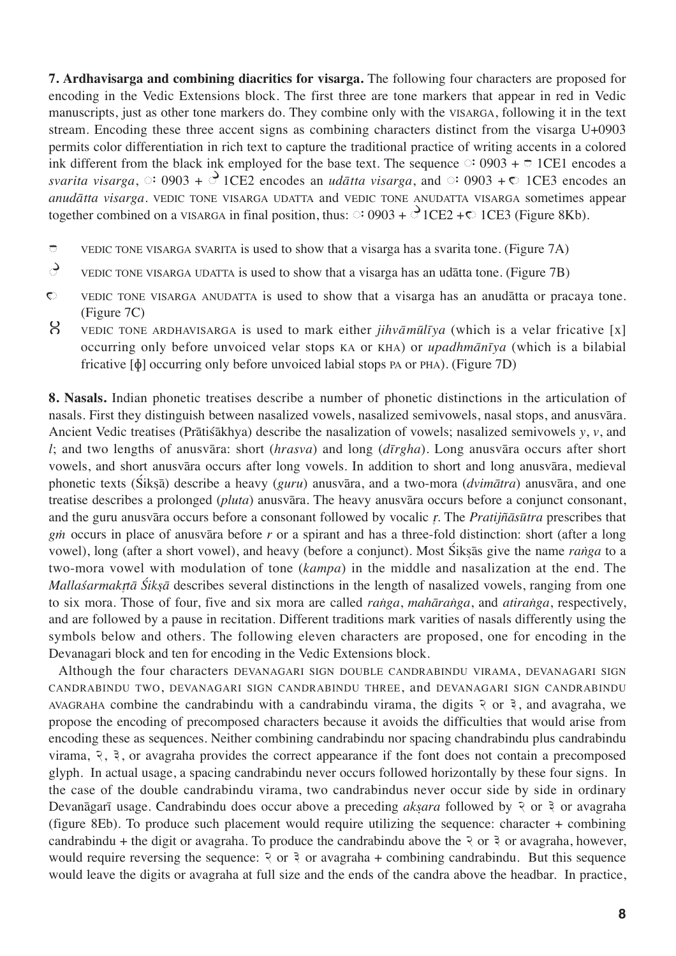**7. Ardhavisarga and combining diacritics for visarga.** The following four characters are proposed for encoding in the Vedic Extensions block. The first three are tone markers that appear in red in Vedic manuscripts, just as other tone markers do. They combine only with the VISARGA, following it in the text stream. Encoding these three accent signs as combining characters distinct from the visarga U+0903 permits color differentiation in rich text to capture the traditional practice of writing accents in a colored ink different from the black ink employed for the base text. The sequence  $\heartsuit$  0903 +  $\heartsuit$  1CE1 encodes a *svarita visarga*,  $\therefore$  0903 +  $\therefore$  1CE2 encodes an *udātta visarga*, and  $\therefore$  0903 +  $\circ$  1CE3 encodes an *anuda¯tta visarga*. VEDIC TONE VISARGA UDATTA and VEDIC TONE ANUDATTA VISARGA sometimes appear together combined on a VISARGA in final position, thus:  $\therefore$  0903 +  $\therefore$  1CE2 +  $\circ$  1CE3 (Figure 8Kb).

- @ऑ VEDIC TONE VISARGA SVARITA is used to show that a visarga has a svarita tone. (Figure 7A)
- $\geq$  vedence Tone VISARGA UDATTA is used to show that a visarga has an udatta tone. (Figure 7B)
- @ओ VEDIC TONE VISARGA ANUDATTA is used to show that a visarga has an anuda¯tta or pracaya tone. (Figure 7C)
- $\beta$  vEDIC TONE ARDHAVISARGA is used to mark either *jihvāmūlīva* (which is a velar fricative [x] occurring only before unvoiced velar stops KA or KHA) or *upadhmānīya* (which is a bilabial fricative [ $\phi$ ] occurring only before unvoiced labial stops PA or PHA). (Figure 7D)

**8. Nasals.** Indian phonetic treatises describe a number of phonetic distinctions in the articulation of nasals. First they distinguish between nasalized vowels, nasalized semivowels, nasal stops, and anusvāra. Ancient Vedic treatises (Prātis´ākhya) describe the nasalization of vowels; nasalized semivowels  $y, y$ , and *l*; and two lengths of anusvāra: short (*hrasva*) and long (*dīrgha*). Long anusvāra occurs after short vowels, and short anusvāra occurs after long vowels. In addition to short and long anusvāra, medieval phonetic texts (S<sup>i</sup>ksā) describe a heavy (*guru*) anusvāra, and a two-mora (*dvimātra*) anusvāra, and one treatise describes a prolonged (*pluta*) anusvāra. The heavy anusvāra occurs before a conjunct consonant, and the guru anusvāra occurs before a consonant followed by vocalic r. The *Pratijñasūtra* prescribes that *gm* occurs in place of anusvara before *r* or a spirant and has a three-fold distinction: short (after a long) vowel), long (after a short vowel), and heavy (before a conjunct). Most Siks<sup>as</sup> give the name *ranga* to a two-mora vowel with modulation of tone (*kampa*) in the middle and nasalization at the end. The *Mallas<sup>armak</sup>ta<sup>5</sup> Siksa* describes several distinctions in the length of nasalized vowels, ranging from one to six mora. Those of four, five and six mora are called *ranga*, *mahāranga*, and *atiranga*, respectively, and are followed by a pause in recitation. Different traditions mark varities of nasals differently using the symbols below and others. The following eleven characters are proposed, one for encoding in the Devanagari block and ten for encoding in the Vedic Extensions block.

Although the four characters DEVANAGARI SIGN DOUBLE CANDRABINDU VIRAMA, DEVANAGARI SIGN CANDRABINDU TWO, DEVANAGARI SIGN CANDRABINDU THREE, and DEVANAGARI SIGN CANDRABINDU AVAGRAHA combine the candrabindu with a candrabindu virama, the digits  $\sqrt{ }$  or  $\frac{3}{2}$ , and avagraha, we propose the encoding of precomposed characters because it avoids the difficulties that would arise from encoding these as sequences. Neither combining candrabindu nor spacing chandrabindu plus candrabindu virama,  $\zeta$ ,  $\zeta$ , or avagraha provides the correct appearance if the font does not contain a precomposed glyph. In actual usage, a spacing candrabindu never occurs followed horizontally by these four signs. In the case of the double candrabindu virama, two candrabindus never occur side by side in ordinary Devanagari usage. Candrabindu does occur above a preceding *aksara* followed by  $\infty$  or  $\infty$  or avagraha (figure 8Eb). To produce such placement would require utilizing the sequence: character + combining candrabindu + the digit or avagraha. To produce the candrabindu above the  $\sqrt{ }$  or  $\frac{3}{2}$  or avagraha, however, would require reversing the sequence:  $\sqrt{6}$  or  $\sqrt{6}$  or avagraha + combining candrabindu. But this sequence would leave the digits or avagraha at full size and the ends of the candra above the headbar. In practice,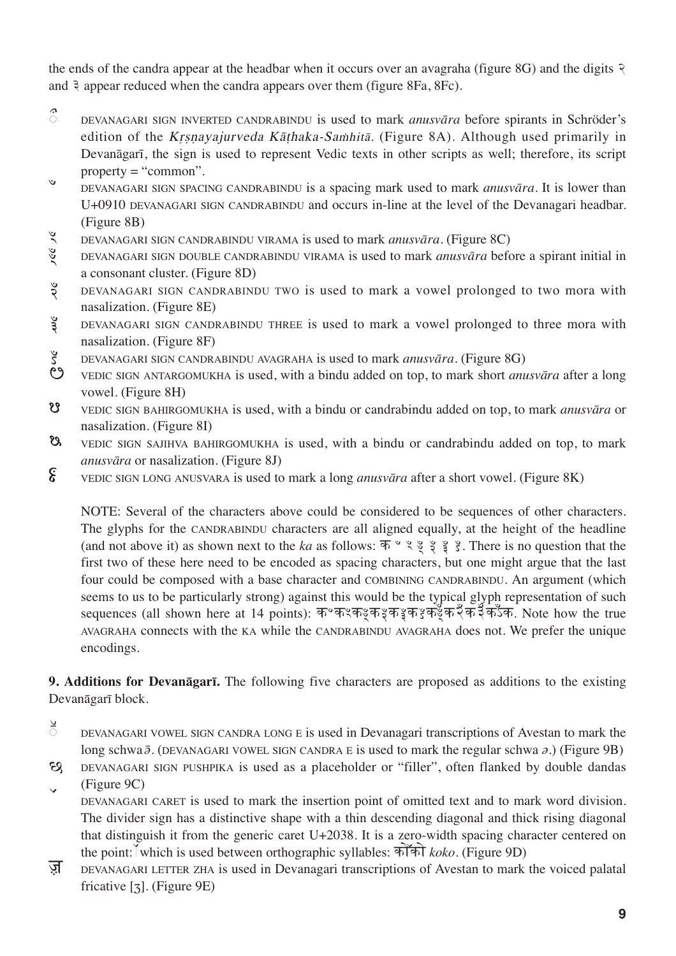the ends of the candra appear at the headbar when it occurs over an avagraha (figure 8G) and the digits  $\zeta$ and  $\frac{3}{5}$  appear reduced when the candra appears over them (figure 8Fa, 8Fc).

- @ऀ DEVANAGARI SIGN INVERTED CANDRABINDU is used to mark *anusva¯ra* before spirants in Schröder's edition of the Krsnayajurveda Kāṭhaka-Samhitā. (Figure 8A). Although used primarily in Devanagari, the sign is used to represent Vedic texts in other scripts as well; therefore, its script  $property = "common".$
- **DEVANAGARI SIGN SPACING CANDRABINDU** is a spacing mark used to mark *anusvata*. It is lower than U+0910 DEVANAGARI SIGN CANDRABINDU and occurs in-line at the level of the Devanagari headbar. (Figure 8B)
- 
- N DEVANAGARI SIGN CANDRABINDU VIRAMA is used to mark *anusvāra*. (Figure 8C)<br>DEVANAGARI SIGN DOUBLE CANDRABINDU VIRAMA is used to mark *anusvāra* befo DEVANAGARI SIGN DOUBLE CANDRABINDU VIRAMA is used to mark *anusvara* before a spirant initial in a consonant cluster. (Figure 8D)
- ≈ DEVANAGARI SIGN CANDRABINDU TWO is used to mark a vowel prolonged to two mora with nasalization. (Figure 8E)
- Δ DEVANAGARI SIGN CANDRABINDU THREE is used to mark a vowel prolonged to three mora with nasalization. (Figure 8F)
- EVANAGARI SIGN CANDRABINDU AVAGRAHA is used to mark *anusvāra*. (Figure 8G) vedic sign antargomijkha is used with a bindu added on top to mark short *anus*
- VEDIC SIGN ANTARGOMUKHA is used, with a bindu added on top, to mark short *anusvara* after a long vowel. (Figure 8H)
- VEDIC SIGN BAHIRGOMUKHA is used, with a bindu or candrabindu added on top, to mark *anusvara* or nasalization. (Figure 8I)
- ग VEDIC SIGN SAJIHVA BAHIRGOMUKHA is used, with a bindu or candrabindu added on top, to mark *anusvāra* or nasalization. (Figure 8J)
- E VEDIC SIGN LONG ANUSVARA is used to mark a long *anusvara* after a short vowel. (Figure 8K)

NOTE: Several of the characters above could be considered to be sequences of other characters. The glyphs for the CANDRABINDU characters are all aligned equally, at the height of the headline (and not above it) as shown next to the *ka* as follows:  $\overline{\Phi} \times \overline{\xi} \times \overline{\xi} \times \overline{\xi}$ . There is no question that the first two of these here need to be encoded as spacing characters, but one might argue that the last four could be composed with a base character and COMBINING CANDRABINDU. An argument (which seems to us to be particularly strong) against this would be the typical glyph representation of such sequences (all shown here at 14 points): क॰क२क३्क३्क३्क३क३ँक२ँक३ँकऊँक. Note how the true AVAGRAHA connects with the KA while the CANDRABINDU AVAGRAHA does not. We prefer the unique encodings.

**9. Additions for Devanāgarī.** The following five characters are proposed as additions to the existing Devanāgarī block.

- @ DEVANAGARI VOWEL SIGN CANDRA LONG E is used in Devanagari transcriptions of Avestan to mark the long schwa  $\bar{a}$ . (DEVANAGARI VOWEL SIGN CANDRA E is used to mark the regular schwa  $\bar{a}$ .) (Figure 9B)
- ᪓ DEVANAGARI SIGN PUSHPIKA is used as a placeholder or "filler", often flanked by double dandas
- (Figure 9C) ᪔ DEVANAGARI CARET is used to mark the insertion point of omitted text and to mark word division. The divider sign has a distinctive shape with a thin descending diagonal and thick rising diagonal that distinguish it from the generic caret U+2038. It is a zero-width spacing character centered on the point: which is used between orthographic syllables: कोॅको *koko*. (Figure 9D)
- ᪙ DEVANAGARI LETTER ZHA is used in Devanagari transcriptions of Avestan to mark the voiced palatal fricative  $[3]$ . (Figure 9E)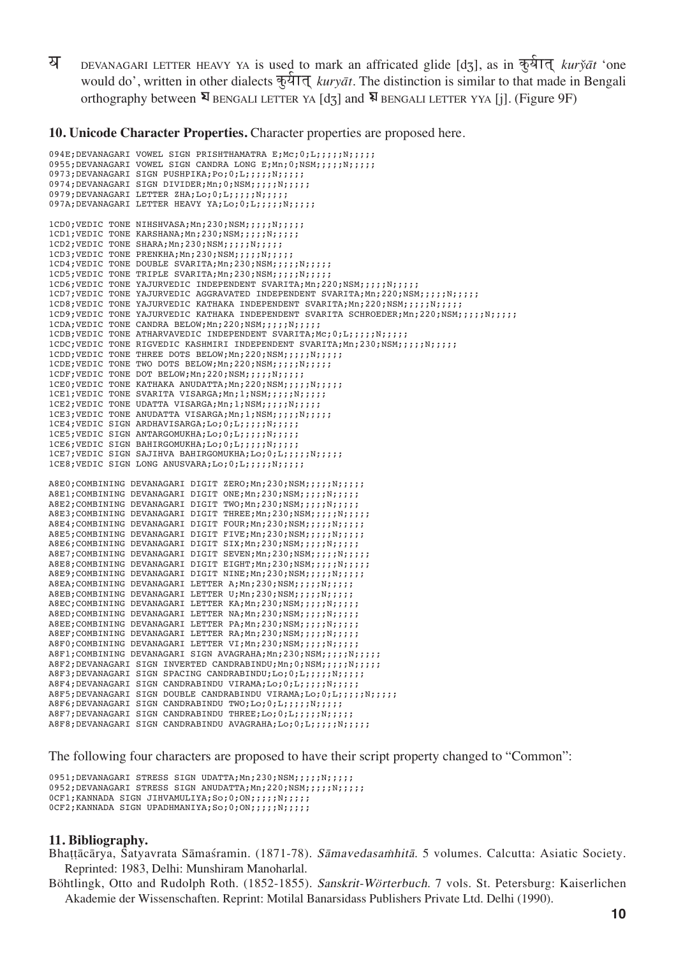य DEVANAGARI LETTER HEAVY YA is used to mark an affricated glide [d3], as in कुर्यात् kuryot 'one would do', written in other dialects कुर्यात् kuryat. The distinction is similar to that made in Bengali orthography between  $\overline{\mathbf{X}}$  BENGALI LETTER YA [dʒ] and  $\overline{\mathbf{X}}$  BENGALI LETTER YYA [j]. (Figure 9F)

**10. Unicode Character Properties.** Character properties are proposed here.

```
094E;DEVANAGARI VOWEL SIGN PRISHTHAMATRA E;Mc;0;L;;;;;N;;;;;
0955;DEVANAGARI VOWEL SIGN CANDRA LONG E;Mn;0;NSM;;;;;N;;;;;
0973;DEVANAGARI SIGN PUSHPIKA;Po;0;L;;;;;N;;;;;
0974;DEVANAGARI SIGN DIVIDER;Mn;0;NSM;;;;;N;;;;;
0979;DEVANAGARI LETTER ZHA;Lo;0;L;;;;;;N;;;;;
097A;DEVANAGARI LETTER HEAVY YA;Lo;0;L;;;;;;N;;;;;
1CD0;VEDIC TONE NIHSHVASA;Mn;230;NSM;;;;;N;;;;;
1CD1;VEDIC TONE KARSHANA;Mn;230;NSM;;;;;N;;;;;
1CD2;VEDIC TONE SHARA;Mn;230;NSM;;;;;N;;;;;
1CD3; VEDIC TONE PRENKHA; Mn; 230; NSM; ;;;; N;;;;;;
1CD4;VEDIC TONE DOUBLE SVARITA;Mn;230;NSM;;;;;N;;;;;
1CD5;VEDIC TONE TRIPLE SVARITA;Mn;230;NSM;;;;;N;;;;;
1CD6;VEDIC TONE YAJURVEDIC INDEPENDENT SVARITA;Mn;220;NSM;;;;;N;;;;;
1CD7;VEDIC TONE YAJURVEDIC AGGRAVATED INDEPENDENT SVARITA;Mn;220;NSM;;;;;N;;;;;
1CD8;VEDIC TONE YAJURVEDIC KATHAKA INDEPENDENT SVARITA;Mn;220;NSM;;;;;N;;;;;
1CD9;VEDIC TONE YAJURVEDIC KATHAKA INDEPENDENT SVARITA SCHROEDER; Mn;220; NSM;;;;; N;;;;;
1CDA; VEDIC TONE CANDRA BELOW; Mn; 220; NSM;;;;; N;;;;;
1CDB;VEDIC TONE ATHARVAVEDIC INDEPENDENT SVARITA;Mc;0;L;;;;;;N;;;;
1CDC;VEDIC TONE RIGVEDIC KASHMIRI INDEPENDENT SVARITA;Mn;230;NSM;;;;;N;;;;;
1CDD;VEDIC TONE THREE DOTS BELOW; Mn; 220; NSM;;;;; N;;;;;
1CDE; VEDIC TONE TWO DOTS BELOW; Mn; 220; NSM; ;;;; N;;;;;
1CDF;VEDIC TONE DOT BELOW;Mn;220;NSM;;;;;N;;;;;
1CE0;VEDIC TONE KATHAKA ANUDATTA;Mn;220;NSM;;;;;N;;;;;
1CE1;VEDIC TONE SVARITA VISARGA; Mn;1;NSM;;;;;N;;;;;
1CE2;VEDIC TONE UDATTA VISARGA; Mn;1;NSM;;;;;N;;;;;
1CE3;VEDIC TONE ANUDATTA VISARGA; Mn; 1; NSM; ;;;; N;;;;;;
1CE4;VEDIC SIGN ARDHAVISARGA;Lo;0;L;;;;;;;;;;;;
1CE5; VEDIC SIGN ANTARGOMUKHA; Lo; 0; L;;;;;;;;;;;;;;;;;;;
1CE6;VEDIC SIGN BAHIRGOMUKHA;Lo;0;L;;;;;;;;;;;
1CE7;VEDIC SIGN SAJIHVA BAHIRGOMUKHA;Lo;0;L;;;;;N;;;;;
1CE8;VEDIC SIGN LONG ANUSVARA;Lo;0;L;;;;;N;;;;;
A8E0;COMBINING DEVANAGARI DIGIT ZERO;Mn;230;NSM;;;;;N;;;;;
A8E1;COMBINING DEVANAGARI DIGIT ONE; Mn;230; NSM;;;;;N;;;;;
A8E2;COMBINING DEVANAGARI DIGIT TWO;Mn;230;NSM;;;;;N;;;;;
A8E3;COMBINING DEVANAGARI DIGIT THREE; Mn; 230; NSM; ;;;; ; N;;;;;;
A8E4;COMBINING DEVANAGARI DIGIT FOUR; Mn;230; NSM;;;;;;;;;;;;;;;;;;;;;;;;;;;;;;;;
A8E5;COMBINING DEVANAGARI DIGIT FIVE;Mn;230;NSM;;;;;N;;;;;
A8E6;COMBINING DEVANAGARI DIGIT SIX;Mn;230;NSM;;;;;N;;;;;
A8E7;COMBINING DEVANAGARI DIGIT SEVEN;Mn;230;NSM;;;;;N;;;;;
A8E8;COMBINING DEVANAGARI DIGIT EIGHT;Mn;230;NSM;;;;;N;;;;;
A8E9;COMBINING DEVANAGARI DIGIT NINE; Mn;230; NSM;;;;; N;;;;;;
A8EA; COMBINING DEVANAGARI LETTER A; Mn; 230; NSM; ;;;; N;;;;;
A8EB;COMBINING DEVANAGARI LETTER U;Mn;230;NSM;;;;;N;;;;;
A8EC;COMBINING DEVANAGARI LETTER KA; Mn; 230; NSM;;;;; N;;;;;
A8ED;COMBINING DEVANAGARI LETTER NA; Mn; 230; NSM;;;;; N;;;;;
A8EE;COMBINING DEVANAGARI LETTER PA;Mn;230;NSM;;;;;N;;;;;
A8EF;COMBINING DEVANAGARI LETTER RA; Mn; 230; NSM;;;;; N;;;;;
A8F0;COMBINING DEVANAGARI LETTER VI;Mn;230;NSM;;;;;N;;;;;
A8F1;COMBINING DEVANAGARI SIGN AVAGRAHA;Mn;230;NSM;;;;;N;;;;;
A8F2;DEVANAGARI SIGN INVERTED CANDRABINDU; Mn; 0; NSM; ;;;; ; N;;;;;;
A8F3;DEVANAGARI SIGN SPACING CANDRABINDU;Lo;0;L;;;;;N;;;;;
A8F4;DEVANAGARI SIGN CANDRABINDU VIRAMA;Lo;0;L;;;;;;N;;;;;
A8F5;DEVANAGARI SIGN DOUBLE CANDRABINDU VIRAMA;Lo;0;L;;;;;N;;;;;
A8F6;DEVANAGARI SIGN CANDRABINDU TWO;Lo;0;L;;;;;N;;;;;
A8F7;DEVANAGARI SIGN CANDRABINDU THREE;Lo;0;L;;;;;N;;;;;
A8F8;DEVANAGARI SIGN CANDRABINDU AVAGRAHA;Lo;0;L;;;;;;N;;;;;
```
The following four characters are proposed to have their script property changed to "Common":

```
0951;DEVANAGARI STRESS SIGN UDATTA;Mn;230;NSM;;;;;N;;;;;
0952;DEVANAGARI STRESS SIGN ANUDATTA;Mn;220;NSM;;;;;N;;;;;
0CF1; KANNADA SIGN JIHVAMULIYA; So; 0; ON;;;;;;N;;;;;
0CF2; KANNADA SIGN UPADHMANIYA; So; 0; ON; ;;;; ; N; ;;;;;
```
#### **11. Bibliography.**

- Bhattācārya, Šatyavrata Sāmaśramin. (1871-78). S*āmavedasamhitā*. 5 volumes. Calcutta: Asiatic Society. Reprinted: 1983, Delhi: Munshiram Manoharlal.
- Böhtlingk, Otto and Rudolph Roth. (1852-1855). Sanskrit-W*ö*rterbuch. 7 vols. St. Petersburg: Kaiserlichen Akademie der Wissenschaften. Reprint: Motilal Banarsidass Publishers Private Ltd. Delhi (1990).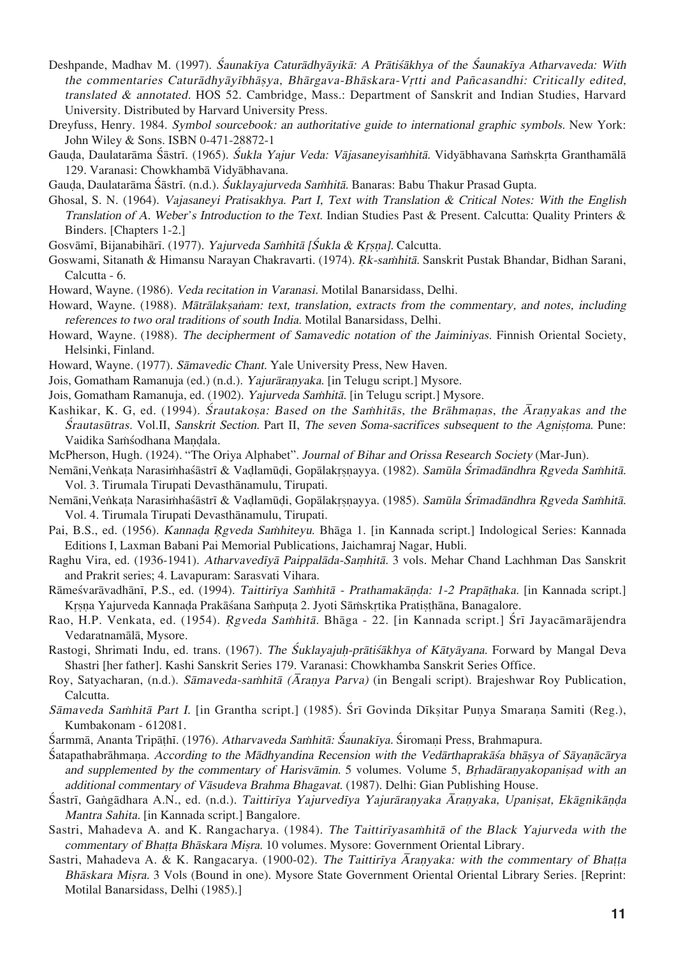- Deshpande, Madhav M. (1997). Śaunakīya Caturādhyāyikā: A Prātiśākhya of the Śaunakīya Atharvaveda: With the commentaries Caturādhyāyībhāsya, Bhārgava-Bhāskara-Vrtti and Pañcasandhi: Critically edited, translated  $\&$  annotated. HOS 52. Cambridge, Mass.: Department of Sanskrit and Indian Studies, Harvard University. Distributed by Harvard University Press.
- Dreyfuss, Henry. 1984. Symbol sourcebook: an authoritative guide to international graphic symbols. New York: John Wiley & Sons. ISBN 0-471-28872-1
- Gauda, Daulatarāma Šāstrī. (1965). Sukla Yajur Veda: Vājasaneyisamhitā. Vidyābhavana Samskrta Granthamālā 129. Varanasi: Chowkhambā Vidyābhavana.
- Gauḍa, Daulatarāma Śāstrī. (n.d.). Śuklayajurveda Samhitā. Banaras: Babu Thakur Prasad Gupta.
- Ghosal, S. N. (1964). Vajasaneyi Pratisakhya. Part I, Text with Translation & Critical Notes: With the English Translation of A. Weber*'*s Introduction to the Text. Indian Studies Past & Present. Calcutta: Quality Printers & Binders. [Chapters 1-2.]
- Gosvāmī, Bijanabihārī. (1977). Yajurveda Samhitā [Śukla & Krsna]. Calcutta.
- Goswami, Sitanath & Himansu Narayan Chakravarti. (1974). Rk-samhitā. Sanskrit Pustak Bhandar, Bidhan Sarani, Calcutta - 6.
- Howard, Wayne. (1986). Veda recitation in Varanasi. Motilal Banarsidass, Delhi.
- Howard, Wayne. (1988). Mātrālaksanam: text, translation, extracts from the commentary, and notes, including references to two oral traditions of south India. Motilal Banarsidass, Delhi.
- Howard, Wayne. (1988). The decipherment of Samavedic notation of the Jaiminiyas. Finnish Oriental Society, Helsinki, Finland.
- Howard, Wayne. (1977). Sāmavedic Chant. Yale University Press, New Haven.
- Jois, Gomatham Ramanuja (ed.) (n.d.). Yajurāranyaka. [in Telugu script.] Mysore.
- Jois, Gomatham Ramanuja, ed. (1902). *Yajurveda Samhitā*. [in Telugu script.] Mysore.
- Kashikar, K. G, ed. (1994). Srautakosa: Based on the Samhitas, the Brahmanas, the  $\bar{A}$ ranyakas and the Srautasūtras. Vol.II, Sanskrit Section. Part II, The seven Soma-sacrifices subsequent to the Agnistoma. Pune: Vaidika Samśodhana Mandala.
- McPherson, Hugh. (1924). "The Oriya Alphabet". Journal of Bihar and Orissa Research Society (Mar-Jun).
- Nemāni, Venkata Narasimhaśāstrī & Vadlamūdi, Gopālakrsnayya. (1982). Samūla Śrīmadāndhra Rgveda Samhitā. Vol. 3. Tirumala Tirupati Devasthānamulu, Tirupati.
- Nemāni, Venkața Narasimhaśāstrī & Vaḍlamūḍi, Gopālakrsnayya. (1985). Samūla Śrīmadāndhra Ŗgveda Samhitā. Vol. 4. Tirumala Tirupati Devasthānamulu, Tirupati.
- Pai, B.S., ed. (1956). Kannada Rgveda Samhiteyu. Bhāga 1. [in Kannada script.] Indological Series: Kannada Editions I, Laxman Babani Pai Memorial Publications, Jaichamraj Nagar, Hubli.
- Raghu Vira, ed. (1936-1941). Atharvavedīyā Paippalāda-Samhitā. 3 vols. Mehar Chand Lachhman Das Sanskrit and Prakrit series; 4. Lavapuram: Sarasvati Vihara.
- Rāmeśvarāvadhānī, P.S., ed. (1994). Taittirīya Samhitā Prathamakānda: 1-2 Prapāṭhaka. [in Kannada script.] Krsna Yajurveda Kannada Prakāśana Samputa 2. Jyoti Sāmskrtika Pratisthāna, Banagalore.
- Rao, H.P. Venkata, ed. (1954). *Rgveda Samhitā*. Bhāga 22. [in Kannada script.] Śrī Jayacāmarājendra Vedaratnamālā, Mysore.
- Rastogi, Shrimati Indu, ed. trans. (1967). The Śuklayajuḥ-prātiśākhya of Kātyāyana. Forward by Mangal Deva Shastri [her father]. Kashi Sanskrit Series 179. Varanasi: Chowkhamba Sanskrit Series Office.
- Roy, Satyacharan, (n.d.). Sāmaveda-samhitā (Aranya Parva) (in Bengali script). Brajeshwar Roy Publication, Calcutta.
- Sāmaveda Samhitā Part I. [in Grantha script.] (1985). Śrī Govinda Dīksitar Punya Smarana Samiti (Reg.), Kumbakonam - 612081.
- Śarmmā, Ananta Tripāthī, (1976). Atharvaveda Samhitā: Śaunakīya. Śiromani Press, Brahmapura.
- Śatapathabrāhmana. According to the Mādhyandina Recension with the Vedārthaprakā sa bhāsya of Sāyanācārya and supplemented by the commentary of Harisvāmin. 5 volumes. Volume 5, Brhadāranyakopanisad with an additional commentary of Vāsudeva Brahma Bhagavat. (1987). Delhi: Gian Publishing House.
- Śastrī, Gangādhara A.N., ed. (n.d.). Taittirīya Yajurvedīya Yajurāranyaka Āranyaka, Upanişat, Ekāgnikānda Mantra Sahita. [in Kannada script.] Bangalore.
- Sastri, Mahadeva A. and K. Rangacharya. (1984). The Taittiriyasamhita of the Black Yajurveda with the commentary of Bhaṭṭa Bhāskara Miṣra. 10 volumes. Mysore: Government Oriental Library.
- Sastri, Mahadeva A. & K. Rangacarya. (1900-02). The Taittiriya  $\bar{A}$ ranyaka: with the commentary of Bhatta Bhāskara Mișra. 3 Vols (Bound in one). Mysore State Government Oriental Oriental Library Series. [Reprint: Motilal Banarsidass, Delhi (1985).]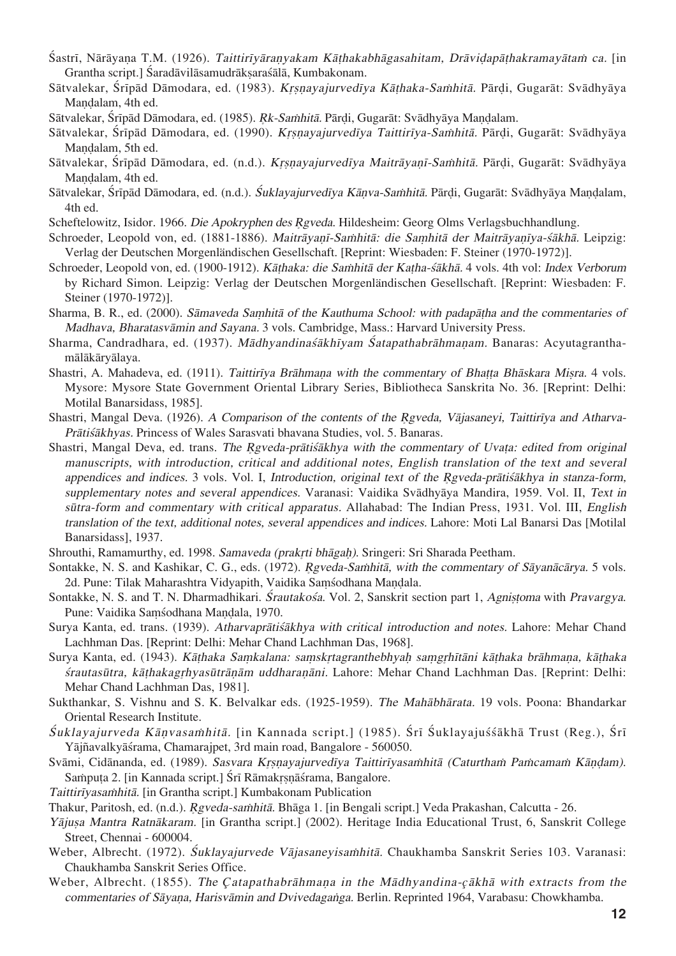- Sastrī, Nārāyana T.M. (1926). Taittirīyāranyakam Kāthakabhāgasahitam, Drāvidapāthakramayātam ca. [in Grantha script.] Śaradāvilāsamudrāksaraśālā, Kumbakonam.
- Sātvalekar, Śrīpād Dāmodara, ed. (1983). Krsnayajurvedīya Kāthaka-Samhitā. Pārdi, Gugarāt: Svādhyāya Mandalam, 4th ed.
- Sātvalekar, Śrīpād Dāmodara, ed. (1985). Rk-Samhitā. Pārdi, Gugarāt: Svādhyāya Mandalam.
- Sātvalekar, Śrīpād Dāmodara, ed. (1990). Krsnavajurvedīva Taittirīva-Samhitā. Pārdi, Gugarāt: Svādhyāva Mandalam, 5th ed.
- Sātvalekar, Śrīpād Dāmodara, ed. (n.d.). Krsnayajurvedīya Maitrāyanī-Samhitā. Pārdi, Gugarāt: Svādhyāya Mandalam, 4th ed.
- Sātvalekar, Śrīpād Dāmodara, ed. (n.d.). Śuklayajurvedīya Kānva-Samhitā. Pārdi, Gugarāt: Svādhyāya Mandalam, 4th ed.
- Scheftelowitz, Isidor. 1966. Die Apokryphen des Rgyeda. Hildesheim: Georg Olms Verlagsbuchhandlung.
- Schroeder, Leopold von, ed. (1881-1886). Maitrāyaṇī-Samhitā: die Samhitā der Maitrāyaṇīya-śākhā. Leipzig: Verlag der Deutschen Morgenländischen Gesellschaft. [Reprint: Wiesbaden: F. Steiner (1970-1972)].
- Schroeder, Leopold von, ed. (1900-1912). Kāthaka: die Samhitā der Katha-śākhā. 4 vols. 4th vol: Index Verborum by Richard Simon. Leipzig: Verlag der Deutschen Morgenländischen Gesellschaft. [Reprint: Wiesbaden: F. Steiner (1970-1972)].
- Sharma, B. R., ed. (2000). Sāmaveda Samhitā of the Kauthuma School: with padapātha and the commentaries of Madhava, Bharatasvāmin and Sayana. 3 vols. Cambridge, Mass.: Harvard University Press.
- Sharma, Candradhara, ed. (1937). Mādhyandinaśākhīyam Śatapathabrāhmanam. Banaras: Acyutagranthamālākāryālaya.
- Shastri, A. Mahadeva, ed. (1911). Taittirīya Brāhmaṇa with the commentary of Bhaṭṭa Bhāskara Miṣra. 4 vols. Mysore: Mysore State Government Oriental Library Series, Bibliotheca Sanskrita No. 36. [Reprint: Delhi: Motilal Banarsidass, 1985].
- Shastri, Mangal Deva. (1926). A Comparison of the contents of the Rgveda, Vājasaneyi, Taittirīya and Atharva-Prātiśākhyas. Princess of Wales Sarasvati bhavana Studies, vol. 5. Banaras.
- Shastri, Mangal Deva, ed. trans. The Rgveda-prātiśākhya with the commentary of Uvața: edited from original manuscripts, with introduction, critical and additional notes, English translation of the text and several appendices and indices. 3 vols. Vol. I, Introduction, original text of the Rgveda-prātiśākhya in stanza-form, supplementary notes and several appendices. Varanasi: Vaidika Svādhyāya Mandira, 1959. Vol. II, Text in sūtra-form and commentary with critical apparatus. Allahabad: The Indian Press, 1931. Vol. III, English translation of the text, additional notes, several appendices and indices. Lahore: Moti Lal Banarsi Das [Motilal Banarsidass], 1937.
- Shrouthi, Ramamurthy, ed. 1998. Samaveda (prakrti bhāgah). Sringeri: Sri Sharada Peetham.
- Sontakke, N. S. and Kashikar, C. G., eds. (1972). Rgveda-Samhitā, with the commentary of Sāyanācārya. 5 vols. 2d. Pune: Tilak Maharashtra Vidyapith, Vaidika Samsodhana Mandala.
- Sontakke, N. S. and T. N. Dharmadhikari. Śrautakośa. Vol. 2, Sanskrit section part 1, Agnistoma with Pravargya. Pune: Vaidika Samśodhana Mandala, 1970.
- Surya Kanta, ed. trans. (1939). Atharvaprātiśākhya with critical introduction and notes. Lahore: Mehar Chand Lachhman Das. [Reprint: Delhi: Mehar Chand Lachhman Das, 1968].
- Surya Kanta, ed. (1943). Kāthaka Samkalana: samskrtagranthebhyah samgrhītāni kāthaka brāhmana, kāthaka śrautasūtra, kāthakagrhyasūtrāņām uddharaņāni. Lahore: Mehar Chand Lachhman Das. [Reprint: Delhi: Mehar Chand Lachhman Das, 1981].
- Sukthankar, S. Vishnu and S. K. Belvalkar eds. (1925-1959). The Mahabharata. 19 vols. Poona: Bhandarkar Oriental Research Institute.
- $\hat{S}$ uklayajurveda Kānvasamhitā. [in Kannada script.] (1985). Śrī Śuklayajuśśākhā Trust (Reg.), Śrī Yājñavalkyāśrama, Chamarajpet, 3rd main road, Bangalore - 560050.
- Svāmi, Cidānanda, ed. (1989). Sasvara Krsnayajurvedīya Taittirīyasamhitā (Caturtham Pamcamam Kāndam). Samputa 2. [in Kannada script.] Śrī Rāmakrsnāśrama, Bangalore.
- Taittirīyasamhitā. [in Grantha script.] Kumbakonam Publication
- Thakur, Paritosh, ed. (n.d.). *Rgveda-samhitā*. Bhāga 1. [in Bengali script.] Veda Prakashan, Calcutta 26.
- Yājuşa Mantra Ratnākaram. [in Grantha script.] (2002). Heritage India Educational Trust, 6, Sanskrit College Street, Chennai - 600004.
- Weber, Albrecht. (1972). Śuklayajurvede Vājasaneyisamhitā. Chaukhamba Sanskrit Series 103. Varanasi: Chaukhamba Sanskrit Series Office.
- Weber, Albrecht. (1855). The *Çatapathabrāhmana in the Mādhyandina-çākhā with extracts from the* commentaries of Sāyaṇa, Harisvāmin and Dvivedagaṅga. Berlin. Reprinted 1964, Varabasu: Chowkhamba.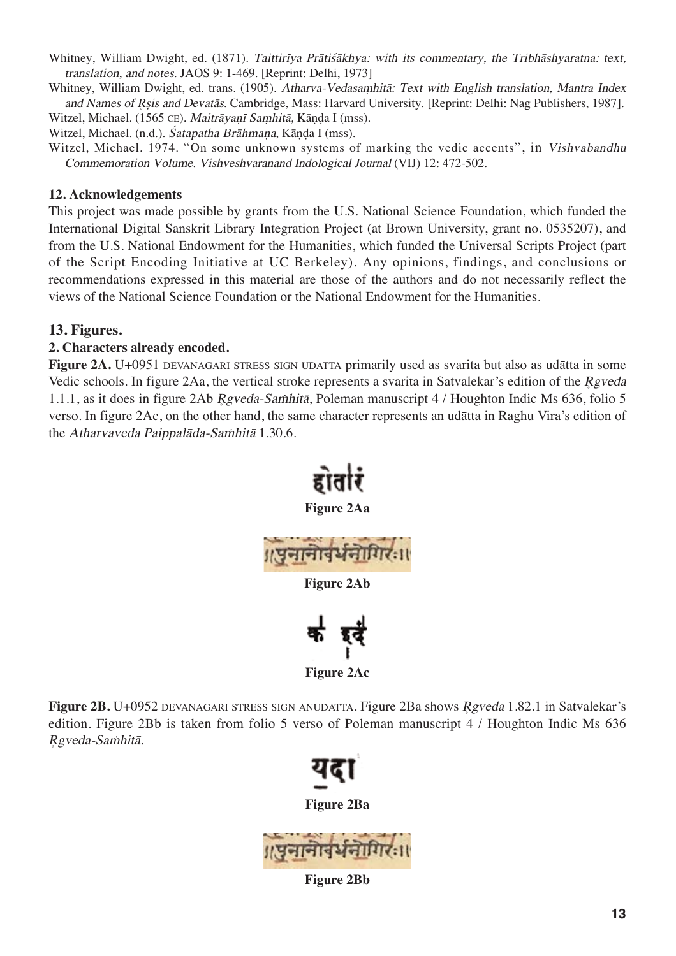- Whitney, William Dwight, ed. (1871). Taittirīya Prātiśākhya: with its commentary, the Tribhāshyaratna: text, translation, and notes. JAOS 9: 1-469. [Reprint: Delhi, 1973]
- Whitney, William Dwight, ed. trans. (1905). Atharva-Vedasamhitā: Text with English translation, Mantra Index and Names of Rsis and Devatās. Cambridge, Mass: Harvard University. [Reprint: Delhi: Nag Publishers, 1987]. Witzel, Michael. (1565 CE). Maitrāyanī Samhitā, Kānda I (mss).

Witzel, Michael. (n.d.). *Śatapatha Brāhmana*, Kānda I (mss).

Witzel, Michael. 1974. "On some unknown systems of marking the vedic accents", in Vishvabandhu Commemoration Volume. Vishveshvaranand Indological Journal (VIJ) 12: 472-502.

#### **12. Acknowledgements**

This project was made possible by grants from the U.S. National Science Foundation, which funded the International Digital Sanskrit Library Integration Project (at Brown University, grant no. 0535207), and from the U.S. National Endowment for the Humanities, which funded the Universal Scripts Project (part of the Script Encoding Initiative at UC Berkeley). Any opinions, findings, and conclusions or recommendations expressed in this material are those of the authors and do not necessarily reflect the views of the National Science Foundation or the National Endowment for the Humanities.

#### **13. Figures.**

#### **2. Characters already encoded.**

**Figure 2A.** U+0951 DEVANAGARI STRESS SIGN UDATTA primarily used as svarita but also as udātta in some Vedic schools. In figure 2Aa, the vertical stroke represents a svarita in Satvalekar's edition of the Rgveda 1.1.1, as it does in figure 2Ab Rgveda-Samhitā, Poleman manuscript 4 / Houghton Indic Ms 636, folio 5 verso. In figure 2Ac, on the other hand, the same character represents an udātta in Raghu Vira's edition of the Atharvaveda Paippalāda-Samhitā 1.30.6.



#### **Figure 2Aa**



**Figure 2Ab**

इद

**Figure 2Ac**

**Figure 2B.** U+0952 DEVANAGARI STRESS SIGN ANUDATTA. Figure 2Ba shows Rgveda 1.82.1 in Satvalekar's edition. Figure 2Bb is taken from folio 5 verso of Poleman manuscript 4 / Houghton Indic Ms 636 Rgveda-Samhitā.





**Figure 2Bb**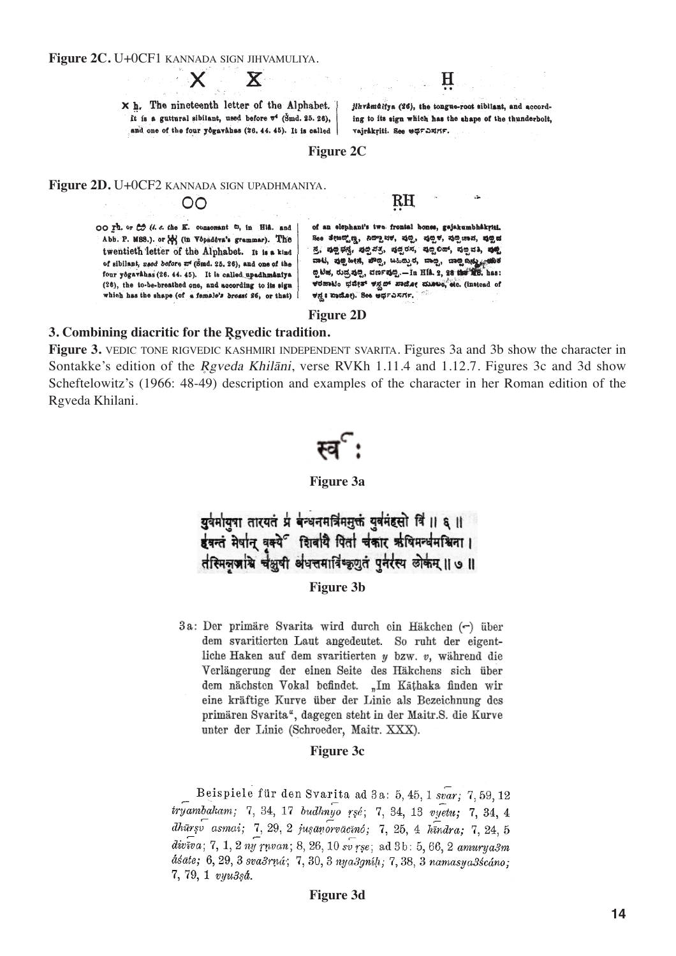#### X

X h. The nineteenth letter of the Alphabet. It is a guttural sibilant, used before  $v^4$  (Smd. 25. 26), and one of the four yogavahas (26. 44. 45). It is called

X

 $\bf H$ 

jihvamüliya (26), the tongue-root sibilant, and according to its sign which has the shape of the thunderbolt, vajråkriti. See ear annr.

#### **Figure 2C**

**Figure 2D.** U+0CF2 KANNADA SIGN UPADHMANIYA.

OO

 $R$ H

OO rh. or CO (i. e. the K. consonant  $\mathfrak{S}$ , in Hia. and Abh. P. M88.). or M (in Vopadeva's grammar). The twentieth letter of the Alphabet. It is a kind of sibilant, used before  $x^*$  (Smd. 25. 26), and one of the four yogavahas (26. 44. 45). It is called upadhmaniya (26), the to-be-breathed one, and according to its sign which has the shape (of a female's breast 26, or that) of an elephant's two frontal bones, gajakumbhâkriti. See ತೇಜಪ್ಪಿಣ್ಣ, ನಿದ್ದಾವಕ, ಪುದ್ಧ, ಪುದ್ಧಕ, ಪುದ್ಧಚಾಪ, ಪುದ್ಧವ ನ್ನ, ಪೂರೈಥನ್ಯ, ಪೂರೈನತ್ಯ, ಪೊರೈಸ, ಪೂರೈನ್, ಪೊರೈವತಿ, ಪೊರೈ mai, nie det, mog, ubm d, mog, mog not e ஐ பக, லகு ஆகு, என் கூ. - In Hia. 2, 28 110 118. has: ಕರಹಾಟಂ ಭವೇತ್ ಕನ್ನದ್ ಪಾದೋ ಮೂಲಕ, etc. (instead of ಕನ್ನಃ ಪಾದೋ). 800 ಅರ್ಥವಿಸರ್ಗ.

#### **Figure 2D**

#### **3. Combining diacritic for the** Ë**gvedic tradition.**

**Figure 3.** VEDIC TONE RIGVEDIC KASHMIRI INDEPENDENT SVARITA. Figures 3a and 3b show the character in Sontakke's edition of the *Rgveda Khilāni*, verse RVKh 1.11.4 and 1.12.7. Figures 3c and 3d show Scheftelowitz's (1966: 48-49) description and examples of the character in her Roman edition of the Rgveda Khilani.

#### **Figure 3a**

### युवमीयुषा तारयतं प्रं बन्धनमत्रिममुक्तं युवमहसो वि ॥ ६ ॥ इंबन्तं मेर्षान् वृक्षे शिवांयै पितां चकार ऋषिमन्धमश्चिना । तंस्मिनजाये चेक्षुषी अंधत्तमाविष्कृणुतं पुर्नरस्य लोकम् ॥ ७ ॥

#### **Figure 3b**

3a: Der primäre Svarita wird durch ein Häkchen (-) über dem svaritierten Laut angedeutet. So ruht der eigentliche Haken auf dem svaritierten  $y$  bzw.  $v$ , während die Verlängerung der einen Seite des Häkchens sich über dem nächsten Vokal befindet. "Im Kāthaka finden wir eine kräftige Kurve über der Linie als Bezeichnung des primären Svarita", dagegen steht in der Maitr.S. die Kurve unter der Linie (Schroeder, Maitr. XXX).

#### **Figure 3c**

Beispiele für den Svarita ad 3a: 5, 45, 1 svar; 7, 59, 12 tryambakam; 7, 34, 17 budhnyo rsé; 7, 34, 13 vyetu; 7, 34, 4 dhūrsv asmai; 7, 29, 2 jusāņorvācīnó; 7, 25, 4 hīndra; 7, 24, 5 divīva; 7, 1, 2 ny rņvan; 8, 26, 10 sv rse; ad 3b: 5, 66, 2 amurya3m áśāte; 6, 29, 3 sva3rņá; 7, 30, 3 nya3gníh; 7, 38, 3 namasya3ścáno; 7, 79, 1 vyu3şá.

#### **Figure 3d**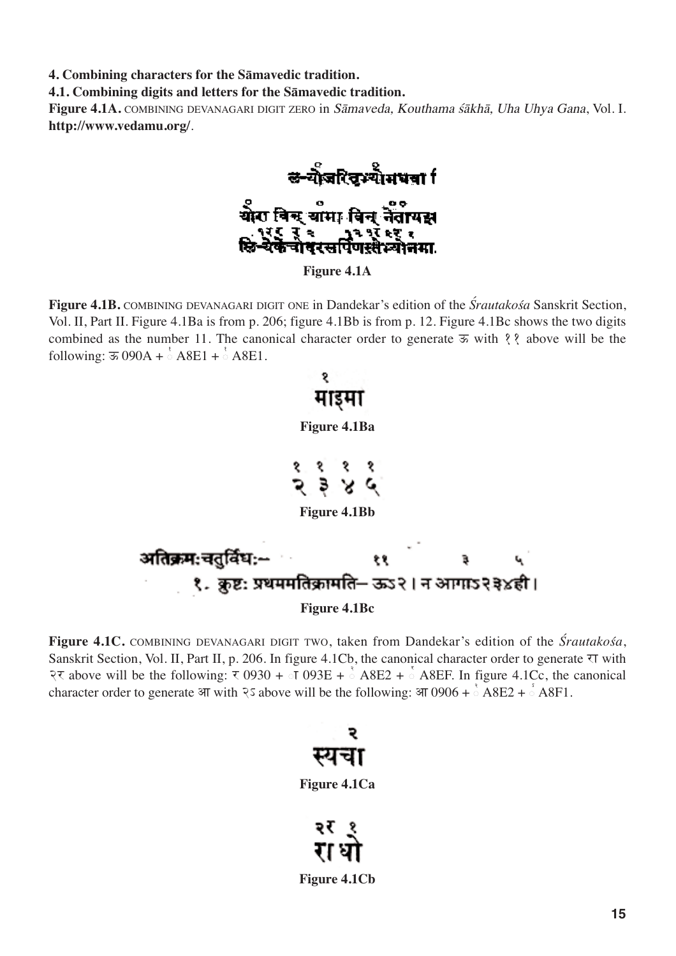**4. Combining characters for the Sāmavedic tradition.**

**4.1. Combining digits and letters for the Sāmavedic tradition.**

Figure 4.1A. COMBINING DEVANAGARI DIGIT ZERO in Sāmaveda, Kouthama śākhā, Uha Uhya Gana, Vol. I. **http://www.vedamu.org/**.



**Figure 4.1A**

**Figure 4.1B.** COMBINING DEVANAGARI DIGIT ONE in Dandekar's edition of the *Srautakosa* Sanskrit Section, Vol. II, Part II. Figure 4.1Ba is from p. 206; figure 4.1Bb is from p. 12. Figure 4.1Bc shows the two digits combined as the number 11. The canonical character order to generate  $\overline{x}$  with  $\{ \}$  above will be the following:  $\overline{\infty}$  090A +  $\overline{\circ}$  A8E1 +  $\overline{\circ}$  A8E1.



Figure 4.1C. COMBINING DEVANAGARI DIGIT TWO, taken from Dandekar's edition of the *Śrautakośa*, Sanskrit Section, Vol. II, Part II, p. 206. In figure 4.1Cb, the canonical character order to generate  $\nabla$  with २र above will be the following:  $\overline{x}$  0930 +  $\overline{0}$  093E +  $\overline{0}$  A8E2 +  $\overline{0}$  A8EF. In figure 4.1Cc, the canonical character order to generate आ with  $\overline{S}$  above will be the following: आ 0906 +  $\dot{\circ}$  A8E2 +  $\dot{\circ}$  A8F1.

# स्यचा

#### **Figure 4.1Ca**

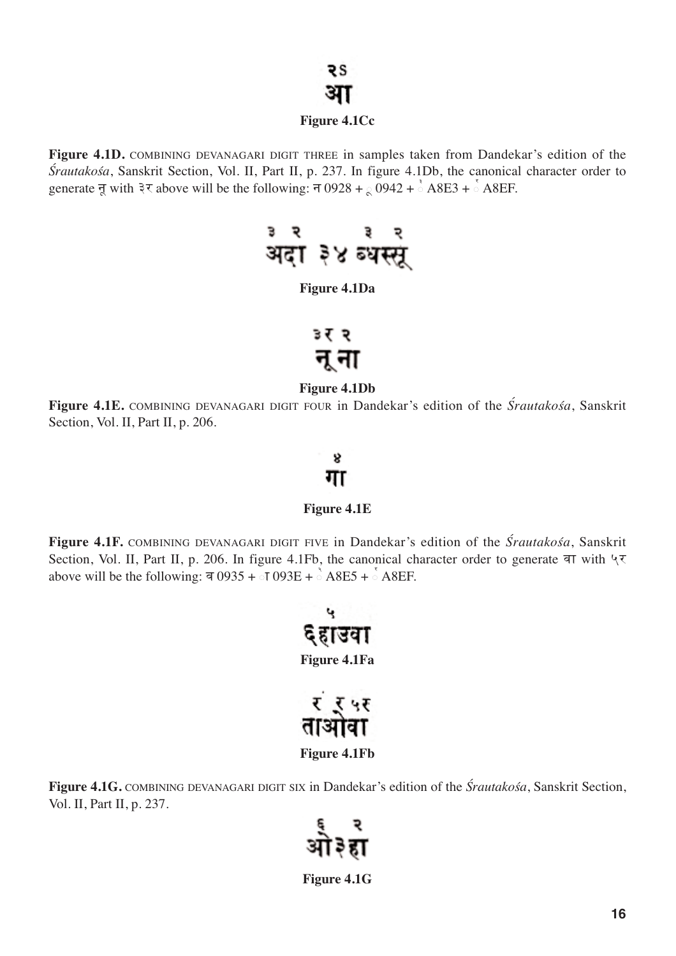### २ S आ

#### **Figure 4.1Cc**

**Figure 4.1D.** COMBINING DEVANAGARI DIGIT THREE in samples taken from Dandekar's edition of the *S´rautakos´a*, Sanskrit Section, Vol. II, Part II, p. 237. In figure 4.1Db, the canonical character order to generate नू with ३र above will be the following: न 0928 +  $\frac{6}{5}$  0942 +  $\frac{3}{5}$  A8E3 +  $\frac{5}{5}$  A8EF.



**Figure 4.1Da**

## ३ र २ नू ना

**Figure 4.1Db**

Figure 4.1E. COMBINING DEVANAGARI DIGIT FOUR in Dandekar's edition of the *Śrautakośa*, Sanskrit Section, Vol. II, Part II, p. 206.

#### S, गा

#### **Figure 4.1E**

Figure 4.1F. COMBINING DEVANAGARI DIGIT FIVE in Dandekar's edition of the *Śrautakośa*, Sanskrit Section, Vol. II, Part II, p. 206. In figure 4.1Fb, the canonical character order to generate  $\overline{q}$  with  $\forall \overline{\tau}$ above will be the following:  $\overline{q}$  0935 +  $\overline{q}$  093E +  $\overline{q}$  A8E5 +  $\overline{q}$  A8EF.



# **Figure 4.1Fb**

Figure 4.1G. COMBINING DEVANAGARI DIGIT SIX in Dandekar's edition of the *Śrautakośa*, Sanskrit Section, Vol. II, Part II, p. 237.



**Figure 4.1G**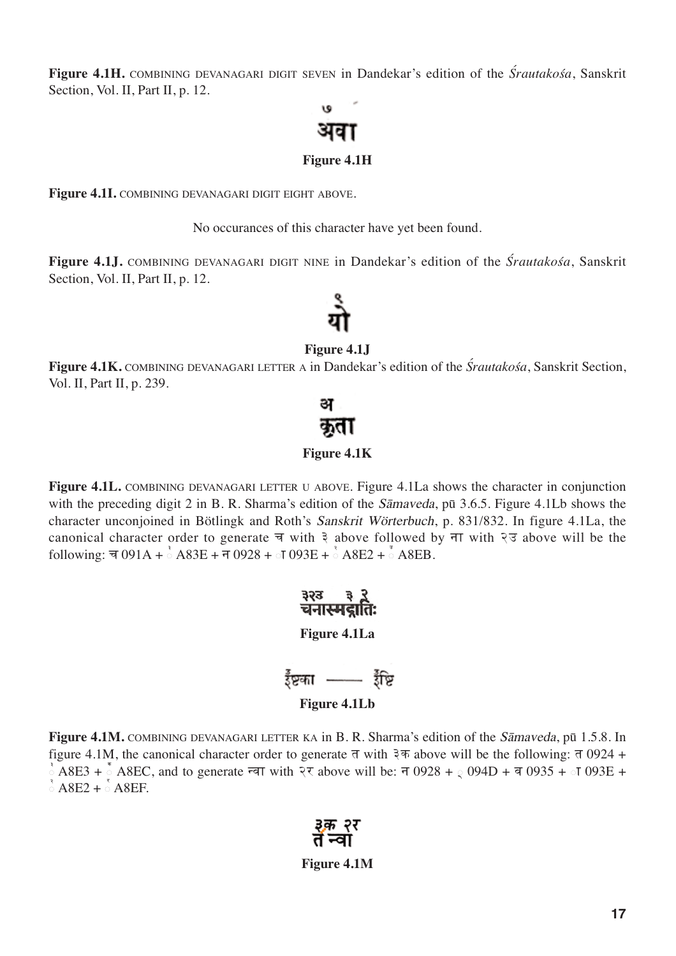**Figure 4.1H.** COMBINING DEVANAGARI DIGIT SEVEN in Dandekar's edition of the *Śrautakośa*, Sanskrit Section, Vol. II, Part II, p. 12.



Figure 4.1I. COMBINING DEVANAGARI DIGIT EIGHT ABOVE.

No occurances of this character have yet been found.

Figure 4.1J. COMBINING DEVANAGARI DIGIT NINE in Dandekar's edition of the *Śrautakośa*, Sanskrit Section, Vol. II, Part II, p. 12.

#### **Figure 4.1J**

Figure 4.1K. COMBINING DEVANAGARI LETTER A in Dandekar's edition of the *Śrautakośa*, Sanskrit Section, Vol. II, Part II, p. 239.



#### **Figure 4.1K**

**Figure 4.1L.** COMBINING DEVANAGARI LETTER U ABOVE. Figure 4.1La shows the character in conjunction with the preceding digit 2 in B. R. Sharma's edition of the  $S\bar{a}$ maveda, pū 3.6.5. Figure 4.1Lb shows the character unconjoined in Bötlingk and Roth's Sanskrit Wîrterbuch, p. 831/832. In figure 4.1La, the canonical character order to generate  $\overline{a}$  with  $\overline{a}$  above followed by  $\overline{a}$  with  $\overline{a}$  above will be the following:  $\overline{9}$  091A +  $\overline{6}$  A83E +  $\overline{7}$  0928 +  $\overline{0}$  093E +  $\overline{6}$  A8E2 +  $\overline{6}$  A8EB.

**Figure 4.1La**

**Figure 4.1Lb**

Figure 4.1M. COMBINING DEVANAGARI LETTER KA in B. R. Sharma's edition of the Samaveda, pu 1.5.8. In figure 4.1M, the canonical character order to generate  $\overline{d}$  with  $\overline{g}$  above will be the following:  $\overline{d}$  0924 +  $\dot{\circ}$  A8E3 +  $\dot{\circ}$  A8EC, and to generate  $\overline{r}$  with  $\overline{r}$  above will be:  $\overline{r}$  0928 +  $\frac{1}{2}$  094D +  $\overline{r}$  0935 +  $\circ$  093E +  $\circ$  A8E2 +  $\circ$  A8EF.



**Figure 4.1M**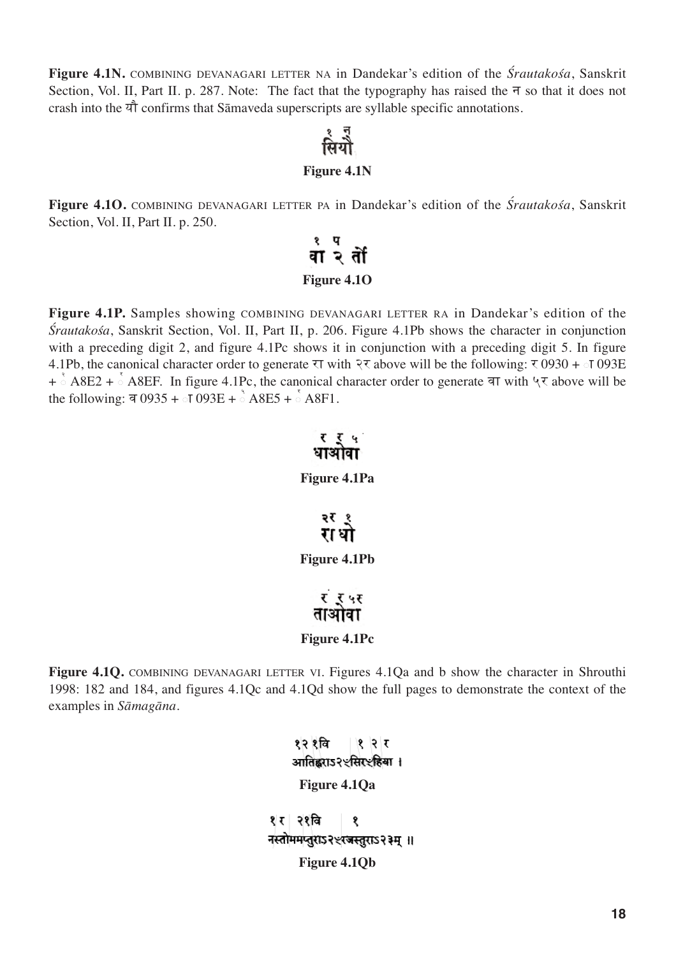Figure 4.1N. COMBINING DEVANAGARI LETTER NA in Dandekar's edition of the *Śrautakośa*, Sanskrit Section, Vol. II, Part II. p. 287. Note: The fact that the typography has raised the न so that it does not crash into the यौ confirms that Samaveda superscripts are syllable specific annotations.

# ू<br>सियो **Figure 4.1N**

#### Figure 4.10. COMBINING DEVANAGARI LETTER PA in Dandekar's edition of the *Śrautakośa*, Sanskrit Section, Vol. II, Part II. p. 250.

# <sup>१ प</sup><br>वा२ तेर् **Figure 4.1O**

**Figure 4.1P.** Samples showing COMBINING DEVANAGARI LETTER RA in Dandekar's edition of the *S´rautakos´a*, Sanskrit Section, Vol. II, Part II, p. 206. Figure 4.1Pb shows the character in conjunction with a preceding digit 2, and figure 4.1Pc shows it in conjunction with a preceding digit 5. In figure 4.1Pb, the canonical character order to generate  $\nabla \overline{\mathbf{v}}$  with  $\overline{\mathbf{v}}$  above will be the following:  $\overline{\mathbf{v}}$  0930 +  $\overline{\mathbf{v}}$  093E  $+\dot{\circ}$  A8E2 +  $\dot{\circ}$  A8EF. In figure 4.1Pc, the canonical character order to generate  $\overline{q}$  with  $\overline{q}$  above will be the following:  $\overline{9}$  0935 +  $\overline{0}$  093E +  $\overline{0}$  A8E5 +  $\overline{0}$  A8F1.



**Figure 4.1Pa**

#### २ र १ रा धो

#### **Figure 4.1Pb**

# र र ५र<br>ताओवा

#### **Figure 4.1Pc**

**Figure 4.1Q.** COMBINING DEVANAGARI LETTER VI. Figures 4.1Qa and b show the character in Shrouthi 1998: 182 and 184, and figures 4.1Qc and 4.1Qd show the full pages to demonstrate the context of the examples in *Sāmagāna*.

#### १२ श्वि ∖१ |२ |र आतिह्वराऽ२र्श्सिररहिया ।

**Figure 4.1Qa**

श्र∃ २१वि १ नस्तोममप्तराऽ२५रजस्तराऽ२३म् ॥ **Figure 4.1Qb**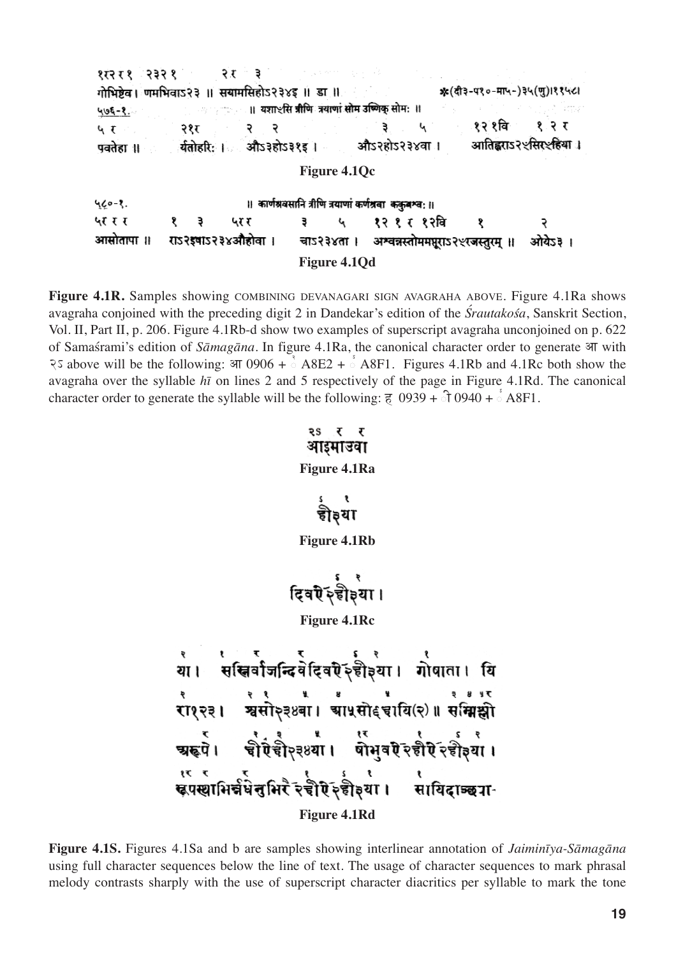| १र२ र१ २३२ १ | २ र ३                                                  |                                                         |                                            |        |                             |
|--------------|--------------------------------------------------------|---------------------------------------------------------|--------------------------------------------|--------|-----------------------------|
|              | गोभिष्टेव । णमभिवाऽ२३ ॥ सयामसिहोऽ२३४इ ॥ डा ॥           |                                                         |                                            |        | ॐ(दी३-प१०-मा५-)३५(णु)।११५८। |
| $-3 - 301$   | ः अस्ति । यशार्श्ते श्रीणि त्रयाणां सोम उष्णिक् सोम: ॥ |                                                         |                                            |        |                             |
| ५ र          | २१र                                                    |                                                         | Ч                                          | १२ १वि | .१२ र                       |
| पवतेहा ॥     | र्यतोहरिः । औऽ३होऽ३१इ । औऽ२होऽ२३४वा ।                  |                                                         |                                            |        | आतिह्वराऽ२र््सिर्≿हिया ।    |
|              |                                                        | Figure 4.1Qc                                            |                                            |        |                             |
| ५८०-१.       |                                                        | ।। कार्णश्रवसानि त्रीणि त्रयाणां कर्णश्रवा कतुत्वश्वः ॥ |                                            |        |                             |
| ५१ १ १       | ५र र                                                   | ৸                                                       | १२ १ र १२वि                                |        |                             |
| आसोतापा ॥    | राऽ२इवाऽ२३४औहोवा ।                                     |                                                         | चाऽ२३४ता । अश्वन्नस्तोममधूराऽ२५रजस्तुरम् ॥ |        | ओयेऽ३ ।                     |
|              |                                                        | <b>Figure 4.1Qd</b>                                     |                                            |        |                             |

Figure 4.1R. Samples showing COMBINING DEVANAGARI SIGN AVAGRAHA ABOVE. Figure 4.1Ra shows avagraha conjoined with the preceding digit 2 in Dandekar's edition of the *Śrautakośa*, Sanskrit Section, Vol. II, Part II, p. 206. Figure 4.1Rb-d show two examples of superscript avagraha unconjoined on p. 622 of Samas<sup>r</sup>ami's edition of *Sāmagāna*. In figure 4.1Ra, the canonical character order to generate आ with  $\frac{1}{25}$  above will be the following: आ 0906 +  $\frac{1}{2}$  A8E2 +  $\frac{1}{2}$  A8F1. Figures 4.1Rb and 4.1Rc both show the avagraha over the syllable *h*<sup> $\bar{i}$ </sup> on lines 2 and 5 respectively of the page in Figure 4.1Rd. The canonical character order to generate the syllable will be the following:  $\overline{g}$  0939 +  $\hat{d}$  0940 +  $\hat{d}$  A8F1.



**Figure 4.1S.** Figures 4.1Sa and b are samples showing interlinear annotation of *Jaimintya-Samagana* using full character sequences below the line of text. The usage of character sequences to mark phrasal melody contrasts sharply with the use of superscript character diacritics per syllable to mark the tone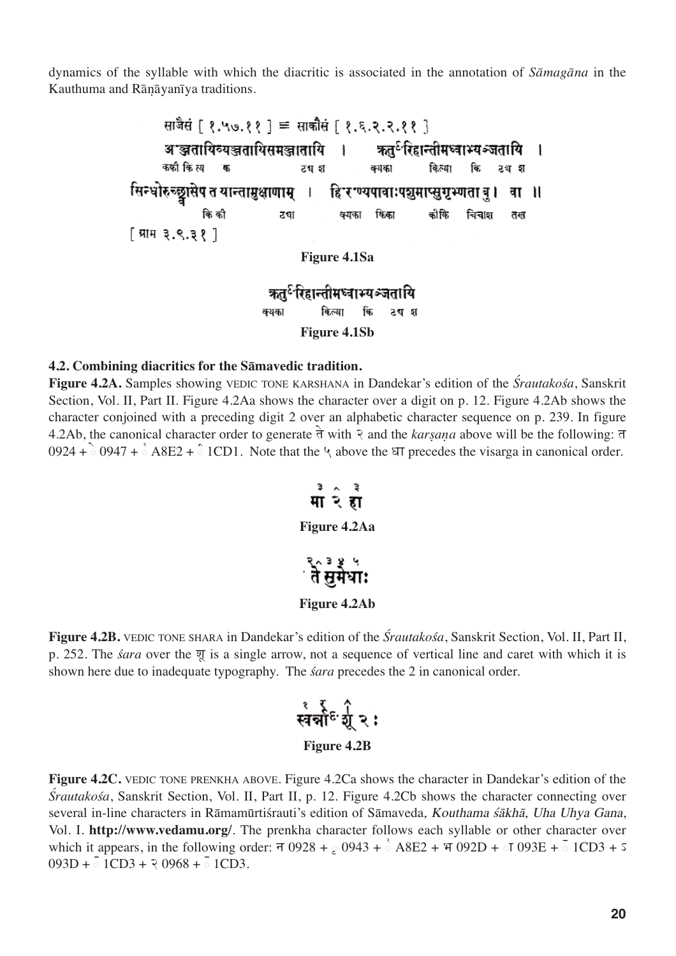dynamics of the syllable with which the diacritic is associated in the annotation of *Sāmagāna* in the Kauthuma and Rāṇāyanīya traditions.

```
साजैसं [ १.५७.११ ] ≡ साकौसं [ १.६.२.२.११ ]
       अञ्जतायिव्यञ्जतायिसमञ्जातायि ।
                                                 ऋत<sup>E-</sup>रिहान्तीमध्वाभ्यञ्जतायि
      ककी कि त्य
                ंक
                                  टथ श
                                                            किल्या
                                                                    कि
                                                क्यका
सिन्धोरुच्छ्नसेष त यान्तामुक्षाणाम् । हिन्रण्यपावाःपञ्जमाप्सुगृभ्णता बु।
                                                                            ना ॥
                                                 किका
                                                            कीकि
                                                                   चिचाश
                              टधा
                                          क्यका
                                                                            तख
[ प्राम ३.९.३१ ]
                                  Figure 4.1Sa
                           ऋत<sup>ृ</sup>रिहान्तीमध्वाभ्यञ्जतायि
                                      किल्या
                                              कि
                          क्यका
                                                    टय श
```
**Figure 4.1Sb**

#### **4.2. Combining diacritics for the Sāmavedic tradition.**

Figure 4.2A. Samples showing VEDIC TONE KARSHANA in Dandekar's edition of the *Śrautakośa*, Sanskrit Section, Vol. II, Part II. Figure 4.2Aa shows the character over a digit on p. 12. Figure 4.2Ab shows the character conjoined with a preceding digit 2 over an alphabetic character sequence on p. 239. In figure 4.2Ab, the canonical character order to generate  $\hat{\sigma}$  with  $\hat{\tau}$  and the *karsana* above will be the following:  $\hat{\sigma}$ 0924 +  $\degree$  0947 +  $\degree$  A8E2 +  $\degree$  1CD1. Note that the  $\frac{1}{3}$  above the धT precedes the visarga in canonical order.

$$
\vec{q} \times \vec{r}
$$
  
Figure 4.2Aa  
ने सुमेथाः  
Figure 4.2Ab

**Figure 4.2B.** VEDIC TONE SHARA in Dandekar's edition of the *Śrautakośa*, Sanskrit Section, Vol. II, Part II, p. 252. The *sara* over the  $\overline{y}$  is a single arrow, not a sequence of vertical line and caret with which it is shown here due to inadequate typography. The *sara* precedes the 2 in canonical order.

**Figure 4.2B**

**Figure 4.2C.** VEDIC TONE PRENKHA ABOVE. Figure 4.2Ca shows the character in Dandekar's edition of the *Śrautakośa*, Sanskrit Section, Vol. II, Part II, p. 12. Figure 4.2Cb shows the character connecting over several in-line characters in Rāmamūrtiśrauti's edition of Sāmaveda, Kouthama śākhā, Uha Uhya Gana, Vol. I. **http://www.vedamu.org/**. The prenkha character follows each syllable or other character over which it appears, in the following order:  $\frac{1}{2}$  0928 +  $\frac{1}{6}$  0943 +  $\frac{3}{6}$  A8E2 +  $\frac{1}{4}$  092D +  $\frac{1}{6}$  093E +  $\frac{1}{6}$  1CD3 +  $\frac{1}{5}$  $093D + 01CD3 + 30968 + 01CD3$ .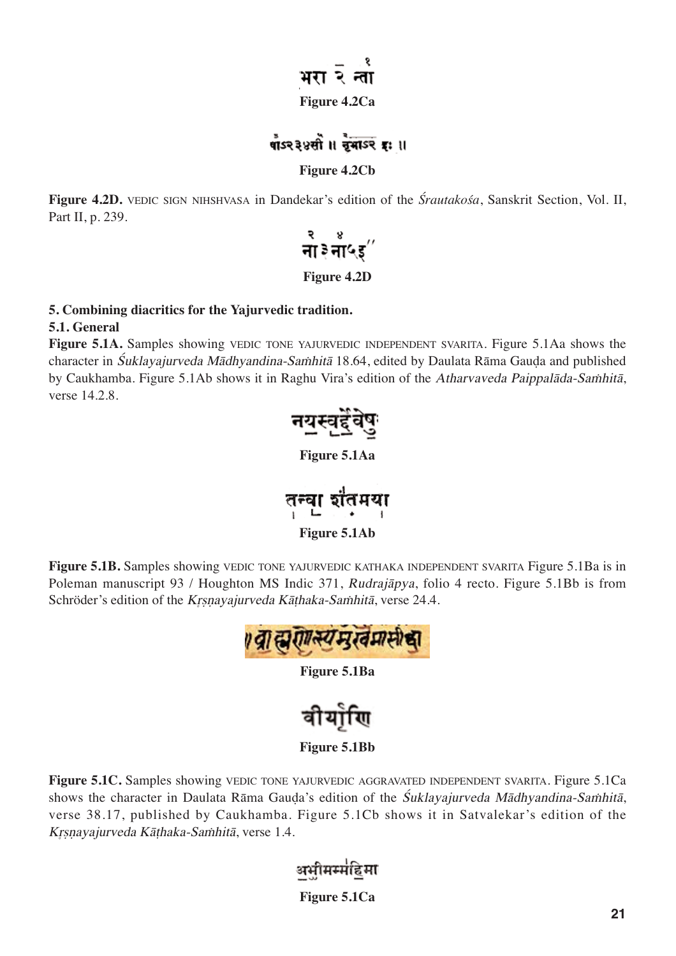

**Figure 4.2Ca**

## गाँउ२३४सी ॥ नगाउरे ४: ॥

#### **Figure 4.2Cb**

**Figure 4.2D.** VEDIC SIGN NIHSHVASA in Dandekar's edition of the *Srautakosa*, Sanskrit Section, Vol. II, Part II, p. 239.



#### **5. Combining diacritics for the Yajurvedic tradition.**

#### **5.1. General**

**Figure 5.1A.** Samples showing VEDIC TONE YAJURVEDIC INDEPENDENT SVARITA. Figure 5.1Aa shows the character in  $\hat{S}$ uklayajurveda Mādhyandina-Samhitā 18.64, edited by Daulata Rāma Gauda and published by Caukhamba. Figure 5.1Ab shows it in Raghu Vira's edition of the Atharvaveda Paippalāda-Samhitā, verse 14.2.8.



**Figure 5.1Aa**

तन्वा इतिमया **Figure 5.1Ab**

**Figure 5.1B.** Samples showing VEDIC TONE YAJURVEDIC KATHAKA INDEPENDENT SVARITA Figure 5.1Ba is in Poleman manuscript 93 / Houghton MS Indic 371, Rudrajāpya, folio 4 recto. Figure 5.1Bb is from Schröder's edition of the Krsnayajurveda Kāthaka-Samhitā, verse 24.4.



**Figure 5.1Ba**

वीयांगि

**Figure 5.1Bb**

**Figure 5.1C.** Samples showing VEDIC TONE YAJURVEDIC AGGRAVATED INDEPENDENT SVARITA. Figure 5.1Ca shows the character in Daulata Rāma Gauda's edition of the  $\hat{S}uklayajurveda Mādhyandina-Samhitā$ , verse 38.17, published by Caukhamba. Figure 5.1Cb shows it in Satvalekar's edition of the Krsnayajurveda Kāthaka-Samhitā, verse 1.4.

# अभीमम्मंहिमा

**Figure 5.1Ca**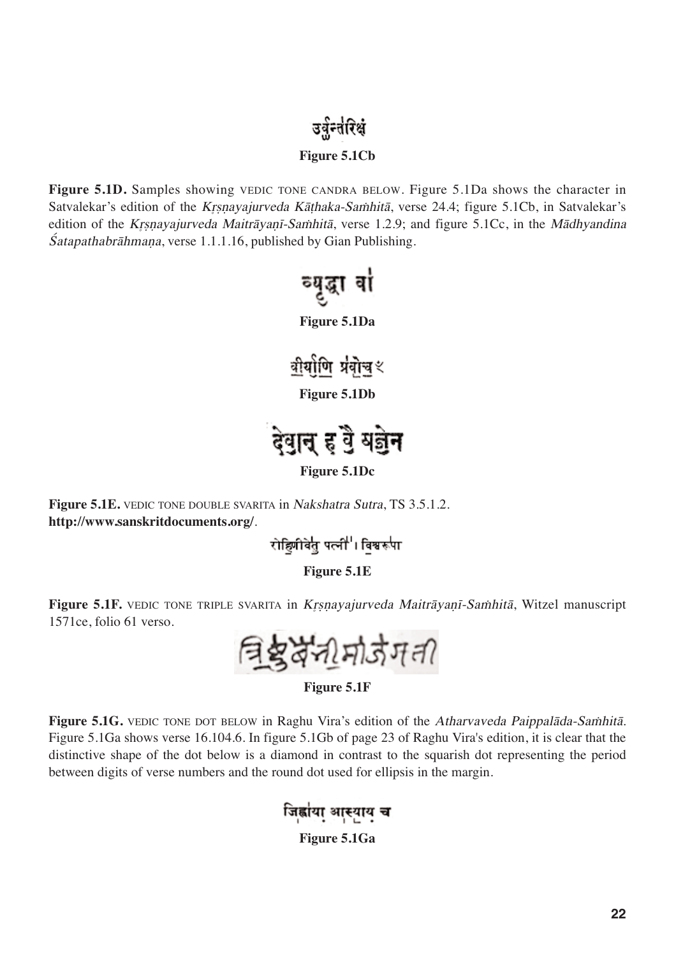# उर्वन्तरिक्षं

#### **Figure 5.1Cb**

**Figure 5.1D.** Samples showing VEDIC TONE CANDRA BELOW. Figure 5.1Da shows the character in Satvalekar's edition of the Krsnavajurveda Kāthaka-Samhitā, verse 24.4; figure 5.1Cb, in Satvalekar's edition of the Krsnayajurveda Maitrāyanī-Samhitā, verse 1.2.9; and figure 5.1Cc, in the Mādhyandina  $S$ atapathabrāhmana, verse 1.1.1.16, published by Gian Publishing.



बीर्याणि प्रवोच र

**Figure 5.1Db**



**Figure 5.1Dc**

**Figure 5.1E.** VEDIC TONE DOUBLE SVARITA in Nakshatra Sutra, TS 3.5.1.2. **http://www.sanskritdocuments.org/**.

रोहिणीवेतु पत्नी<sup>।</sup>। विश्वरूपा

**Figure 5.1E**

Figure 5.1F. VEDIC TONE TRIPLE SVARITA in Krsnayajurveda Maitrāyanī-Samhitā, Witzel manuscript 1571ce, folio 61 verso.



**Figure 5.1F**

Figure 5.1G. VEDIC TONE DOT BELOW in Raghu Vira's edition of the Atharvaveda Paippalada-Samhita. Figure 5.1Ga shows verse 16.104.6. In figure 5.1Gb of page 23 of Raghu Vira's edition, it is clear that the distinctive shape of the dot below is a diamond in contrast to the squarish dot representing the period between digits of verse numbers and the round dot used for ellipsis in the margin.

> जिह्वाया आस्याय च **Figure 5.1Ga**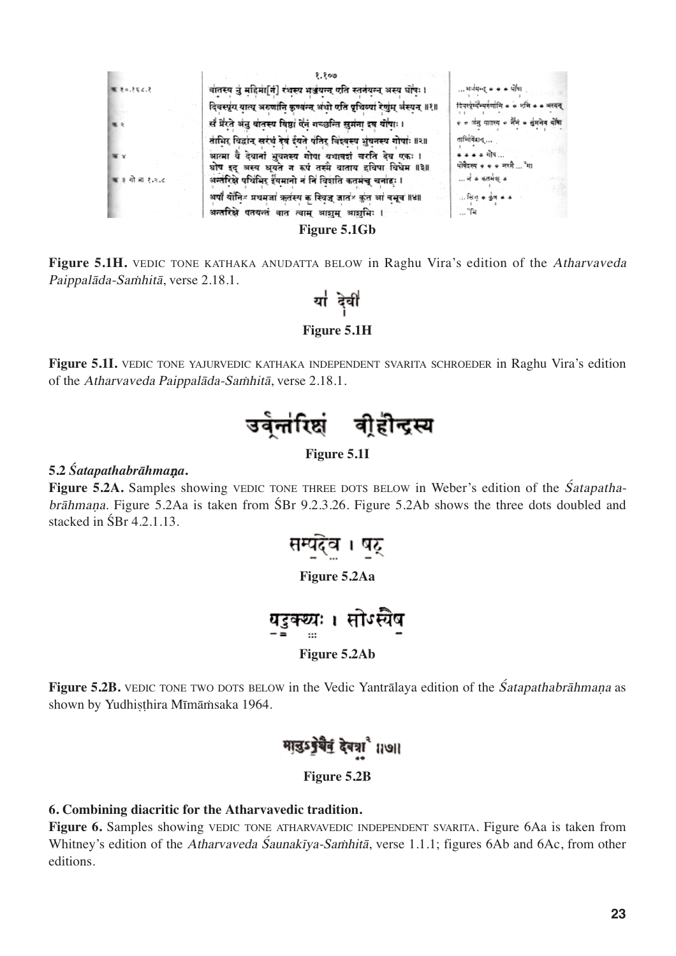|                   | १,१०७                                                                                                              |                                                   |
|-------------------|--------------------------------------------------------------------------------------------------------------------|---------------------------------------------------|
| 5.355.05          | वातस्य नु महिमा[न] रंथस्य भक्षयन्त् एति स्तनयन्न् अस्य घोषः ।                                                      | … भजंयन्त् ००० में थे। ∶                          |
|                   | दिवस्पूर यात्य अरुणानि कृण्वन्त अंधो एति पृथिव्या रेणुम् अस्यन् ॥१॥                                                | दिवस्पूर्व्येन्यरुणानि = = एमि = = अस्वन्         |
| ■ 2               | सं प्रेरते अंतु वातस्य विष्ठां पेनं गच्छन्ति स्नुमना इव योगः ।                                                     | . * अंतु वातस्य > नैनं = सुंगनेव योग              |
|                   | ताभिर विद्वान लर्रथं देव ईयते पतिर विश्वस्य भुयनस्य गोपाः ॥२॥                                                      | ताभिविद्यान्                                      |
| W Y               | आत्मा वै देवानां भुवनस्य गोपा यथावज्ञं चरति देव एकः ।<br>त्रोप इद् अस्य धुयते न रूपं तस्मै वाताय इविषा विश्रेम ॥३॥ | $* * * * \exists 14$<br>पोपैदस्य ७ ० ० नस्मै …ैगा |
| िक् ३ गो ना १.२.८ | अन्तरिक्षे पर्थिमिर ईयमानो न नि विशति कतमच् चनाइः ।                                                                | … में ठ वतमंश् ड                                  |
|                   | अपौ योनिः प्रथमजां ऋतस्य क स्विज् ज्ञातंश कुंत आं वभूव ॥४॥                                                         | … ডিবু ∉ বুস ≠ ≠                                  |
|                   | अन्तरिक्षे पतयन्तं वात त्वाम् आशुम् आशुभिः ।                                                                       | …"मि                                              |

**Figure 5.1Gb**

**Figure 5.1H.** VEDIC TONE KATHAKA ANUDATTA BELOW in Raghu Vira's edition of the Atharvaveda Paippalāda-Samhitā, verse 2.18.1.



**Figure 5.1I.** VEDIC TONE YAJURVEDIC KATHAKA INDEPENDENT SVARITA SCHROEDER in Raghu Vira's edition of the Atharvaveda Paippalāda-Samhitā, verse 2.18.1.



#### **Figure 5.1I**

#### **5.2** *Śatapathabrāhma*ı*a***.**

Figure 5.2A. Samples showing VEDIC TONE THREE DOTS BELOW in Weber's edition of the *Satapatha*brāhmana. Figure 5.2Aa is taken from ŚBr 9.2.3.26. Figure 5.2Ab shows the three dots doubled and stacked in ŚBr 4.2.1.13.



**Figure 5.2Aa**

यडुक्य्यः । सोऽस्यैष

**Figure 5.2Ab**

Figure 5.2B. VEDIC TONE TWO DOTS BELOW in the Vedic Yantrālaya edition of the Satapathabrāhmana as shown by Yudhisthira Mīmāmsaka 1964.



#### **6. Combining diacritic for the Atharvavedic tradition.**

**Figure 6.** Samples showing VEDIC TONE ATHARVAVEDIC INDEPENDENT SVARITA. Figure 6Aa is taken from Whitney's edition of the Atharvaveda  $\hat{S}a$ unakīya-Samhitā, verse 1.1.1; figures 6Ab and 6Ac, from other editions.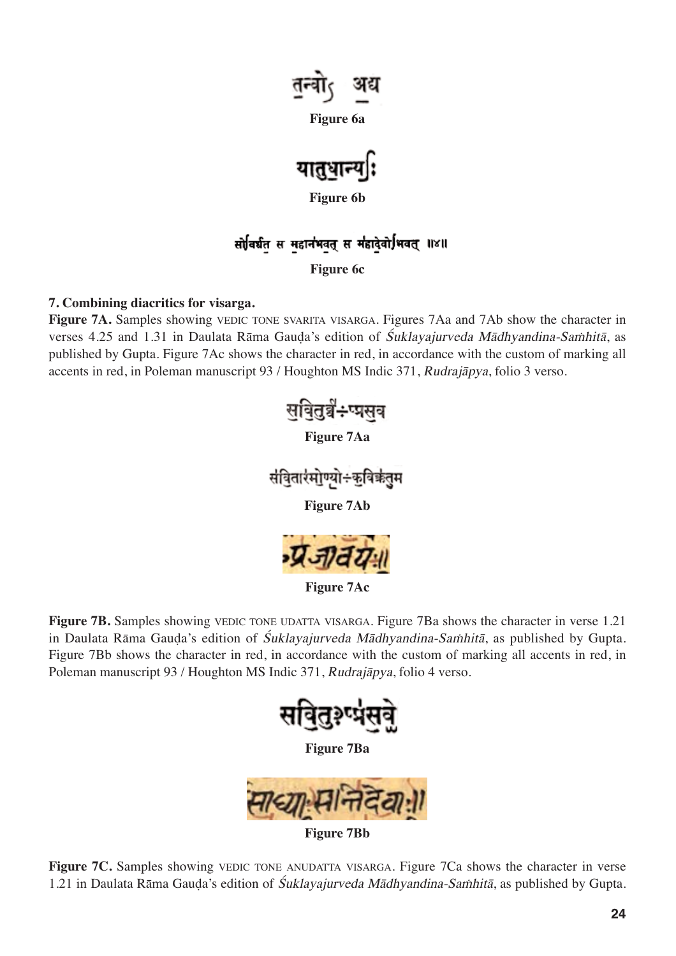

यातथ

**Figure 6b**

### सोविर्धत स महानंभवत् स महादेवो∫भवत् ॥४॥

**Figure 6c**

#### **7. Combining diacritics for visarga.**

**Figure 7A.** Samples showing VEDIC TONE SVARITA VISARGA. Figures 7Aa and 7Ab show the character in verses 4.25 and 1.31 in Daulata Rāma Gauda's edition of  $\hat{S}$ uklayajurveda Mādhyandina-Samhitā, as published by Gupta. Figure 7Ac shows the character in red, in accordance with the custom of marking all accents in red, in Poleman manuscript 93 / Houghton MS Indic 371, Rudrajāpya, folio 3 verso.



**Figure 7B.** Samples showing VEDIC TONE UDATTA VISARGA. Figure 7Ba shows the character in verse 1.21 in Daulata Rāma Gauḍa's edition of Suklayajurveda Mādhyandina-Samhitā, as published by Gupta. Figure 7Bb shows the character in red, in accordance with the custom of marking all accents in red, in Poleman manuscript 93 / Houghton MS Indic 371, Rudrajāpya, folio 4 verso.



**Figure 7Ba**



**Figure 7Bb**

Figure 7C. Samples showing VEDIC TONE ANUDATTA VISARGA. Figure 7Ca shows the character in verse 1.21 in Daulata Rāma Gauda's edition of Suklayajurveda Mādhyandina-Samhitā, as published by Gupta.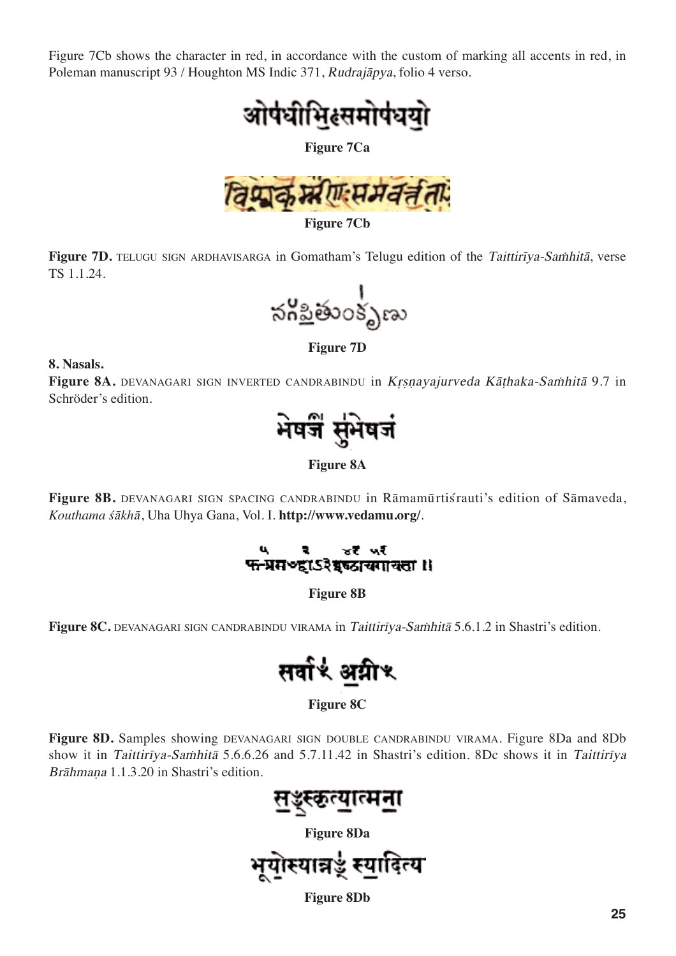Figure 7Cb shows the character in red, in accordance with the custom of marking all accents in red, in Poleman manuscript 93 / Houghton MS Indic 371, Rudrajāpya, folio 4 verso.



**Figure 7Ca**



**Figure 7Cb**

Figure 7D. TELUGU SIGN ARDHAVISARGA in Gomatham's Telugu edition of the Taittiriya-Samhita, verse TS 1.1.24.



**Figure 7D**

**8. Nasals.**

Figure 8A. DEVANAGARI SIGN INVERTED CANDRABINDU in Krsnayajurveda Kāthaka-Samhitā 9.7 in Schröder's edition.



**Figure 8A**

Figure 8B. DEVANAGARI SIGN SPACING CANDRABINDU in Rāmamūrtistauti's edition of Sāmaveda, *Kouthama s´*‡*kh*‡, Uha Uhya Gana, Vol. I. **http://www.vedamu.org/**.



**Figure 8B**

**Figure 8C.** DEVANAGARI SIGN CANDRABINDU VIRAMA in *Taittiriva-Samhitā* 5.6.1.2 in Shastri's edition.



**Figure 8C**

**Figure 8D.** Samples showing DEVANAGARI SIGN DOUBLE CANDRABINDU VIRAMA. Figure 8Da and 8Db show it in Taittiriya-Samhitā 5.6.6.26 and 5.7.11.42 in Shastri's edition. 8Dc shows it in Taittiriya Brāhmana 1.1.3.20 in Shastri's edition.



**Figure 8Da**

भूयोस्यान्नई स्यादित्य

**Figure 8Db**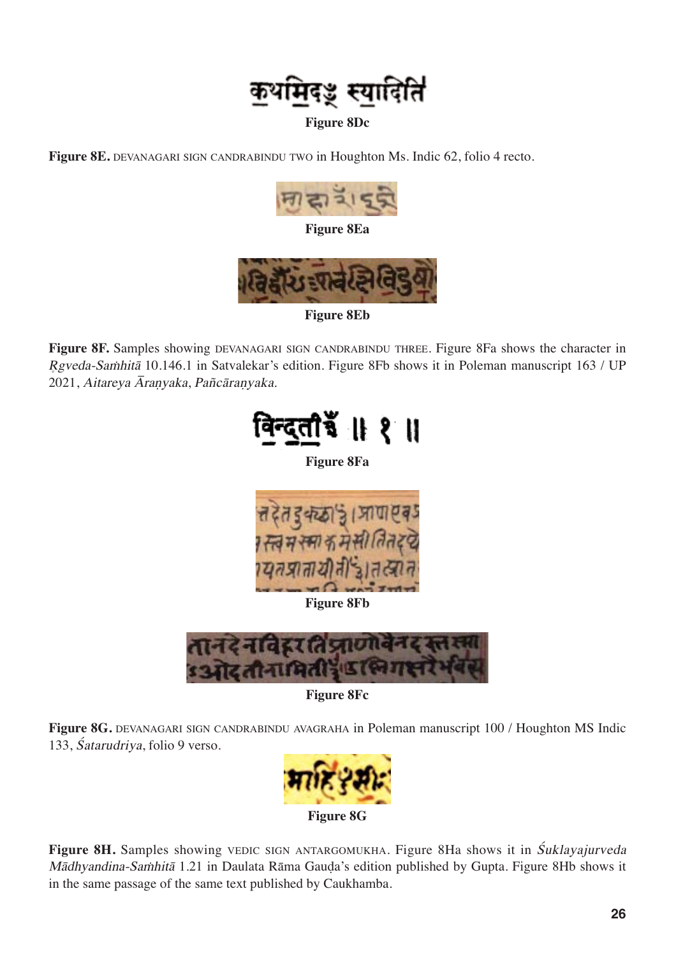

#### **Figure 8Dc**

**Figure 8E.** DEVANAGARI SIGN CANDRABINDU TWO in Houghton Ms. Indic 62, folio 4 recto.



**Figure 8Ea**



**Figure 8Eb**

**Figure 8F.** Samples showing DEVANAGARI SIGN CANDRABINDU THREE. Figure 8Fa shows the character in Rgveda-Samhitā 10.146.1 in Satvalekar's edition. Figure 8Fb shows it in Poleman manuscript 163 / UP 2021, Aitareya Aranyaka, Pañcāranyaka.



**Figure 8Fa**



**Figure 8Fb**



**Figure 8Fc**

**Figure 8G.** DEVANAGARI SIGN CANDRABINDU AVAGRAHA in Poleman manuscript 100 / Houghton MS Indic 133, Satarudriya, folio 9 verso.



Figure 8H. Samples showing VEDIC SIGN ANTARGOMUKHA. Figure 8Ha shows it in Suklayajurveda Mādhyandina-Samhitā 1.21 in Daulata Rāma Gauda's edition published by Gupta. Figure 8Hb shows it in the same passage of the same text published by Caukhamba.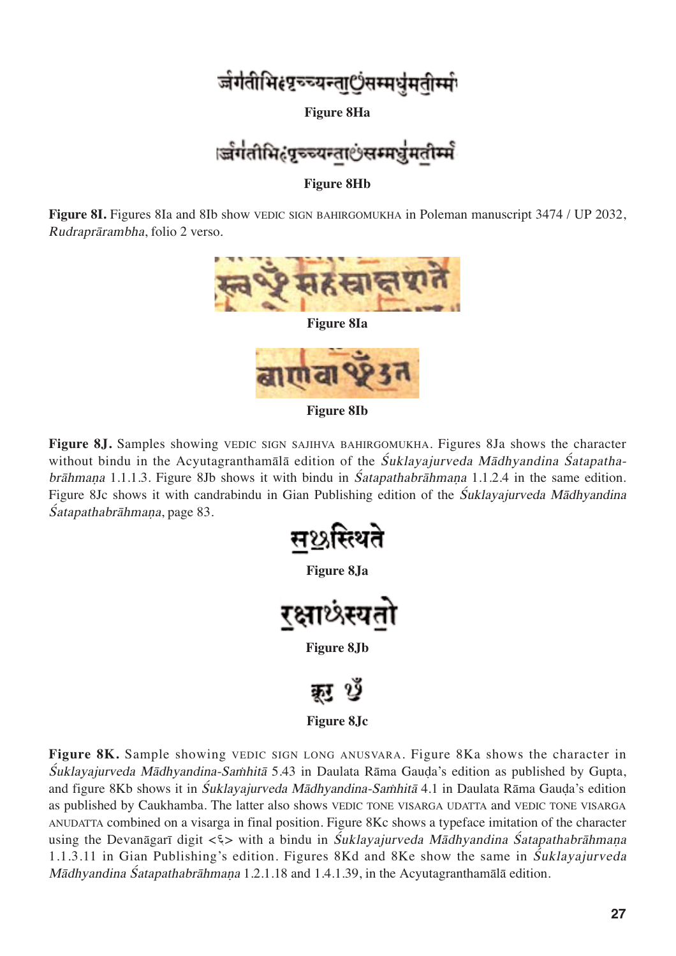ज्जैर्गतीभि€ष्टच्च्यन्तांैसम्मर्धमतीर्म्मा

**Figure 8Ha**

।ज्जिंगतीभिढंपूच्च्यन्ता**ंसम्मधुमतीम्मे** 

#### **Figure 8Hb**

**Figure 8I.** Figures 8Ia and 8Ib show VEDIC SIGN BAHIRGOMUKHA in Poleman manuscript 3474 / UP 2032, Rudraprārambha, folio 2 verso.



**Figure 8J.** Samples showing VEDIC SIGN SAJIHVA BAHIRGOMUKHA. Figures 8Ja shows the character without bindu in the Acyutagranthamālā edition of the  $\hat{S}uklayajurve da Mādhyandina \hat{S}atapatha$ brāhmana 1.1.1.3. Figure 8Jb shows it with bindu in  $\hat{S}atapathabr\bar{a}hmana$  1.1.2.4 in the same edition. Figure 8Jc shows it with candrabindu in Gian Publishing edition of the Suklayajurveda Mādhyandina Śatapathabrāhmana, page 83.



**Figure 8Ja**



**Figure 8Jb**

**Figure 8Jc**

**Figure 8K.** Sample showing VEDIC SIGN LONG ANUSVARA. Figure 8Ka shows the character in  $\hat{S}$ uklayajurveda Mādhyandina-Samhitā 5.43 in Daulata Rāma Gauda's edition as published by Gupta, and figure 8Kb shows it in  $\hat{S}uklayajurve da \hat{M}adhyandina-Samhita 4.1$  in Daulata Rāma Gauda's edition as published by Caukhamba. The latter also shows VEDIC TONE VISARGA UDATTA and VEDIC TONE VISARGA ANUDATTA combined on a visarga in final position. Figure 8Kc shows a typeface imitation of the character using the Devanāgarī digit  $\langle \xi \rangle$  with a bindu in Suklayajurveda Mādhyandina Satapathabrāhmana 1.1.3.11 in Gian Publishing's edition. Figures 8Kd and 8Ke show the same in  $\hat{S}uklayajurveda$ Mādhyandina Śatapathabrāhmana 1.2.1.18 and 1.4.1.39, in the Acyutagranthamālā edition.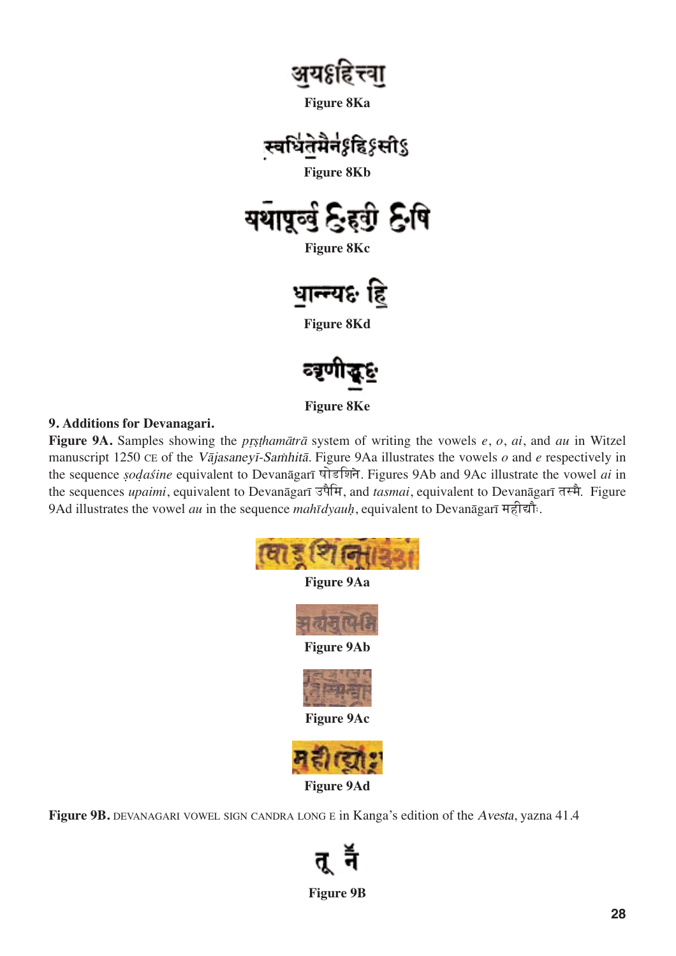

**Figure 8Ka**

# स्वधितेमैन॑१हि**१सी**§

#### **Figure 8Kb**



**Figure 8Kc**



**Figure 8Kd**



**Figure 8Ke**

#### **9. Additions for Devanagari.**

**Figure 9A.** Samples showing the *prsthamatra* system of writing the vowels *e*, *o*, *ai*, and *au* in Witzel manuscript 1250 CE of the Vājasaneyī-Samhitā. Figure 9Aa illustrates the vowels *o* and *e* respectively in the sequence *sodastine* equivalent to Devanāgarī षोडशिने. Figures 9Ab and 9Ac illustrate the vowel *ai* in the sequences *upaimi*, equivalent to Devanāgarī उपैिम, and *tasmai*, equivalent to Devanāgarī तÈमै. Figure 9Ad illustrates the vowel *au* in the sequence *mahīdyauh*, equivalent to Devanāgarī महीद्यौः.



**Figure 9Aa**





**Figure 9Ac**



Figure 9B. DEVANAGARI VOWEL SIGN CANDRA LONG E in Kanga's edition of the Avesta, yazna 41.4

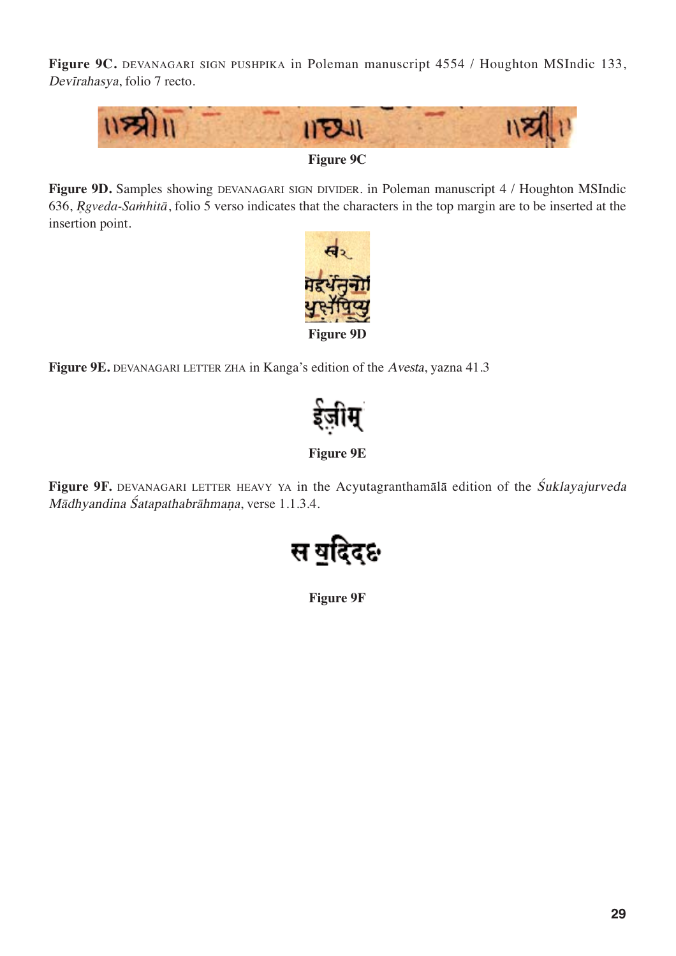**Figure 9C.** DEVANAGARI SIGN PUSHPIKA in Poleman manuscript 4554 / Houghton MSIndic 133, Devīrahasya, folio 7 recto.



**Figure 9D.** Samples showing DEVANAGARI SIGN DIVIDER. in Poleman manuscript 4 / Houghton MSIndic 636, Reveda-Samhita<sup>n</sup>, folio 5 verso indicates that the characters in the top margin are to be inserted at the insertion point.



Figure 9E. DEVANAGARI LETTER ZHA in Kanga's edition of the *Avesta*, yazna 41.3



**Figure 9E**

Figure 9F. DEVANAGARI LETTER HEAVY YA in the Acyutagranthamālā edition of the Suklayajurveda Mādhyandina Śatapathabrāhmaṇa, verse 1.1.3.4.



**Figure 9F**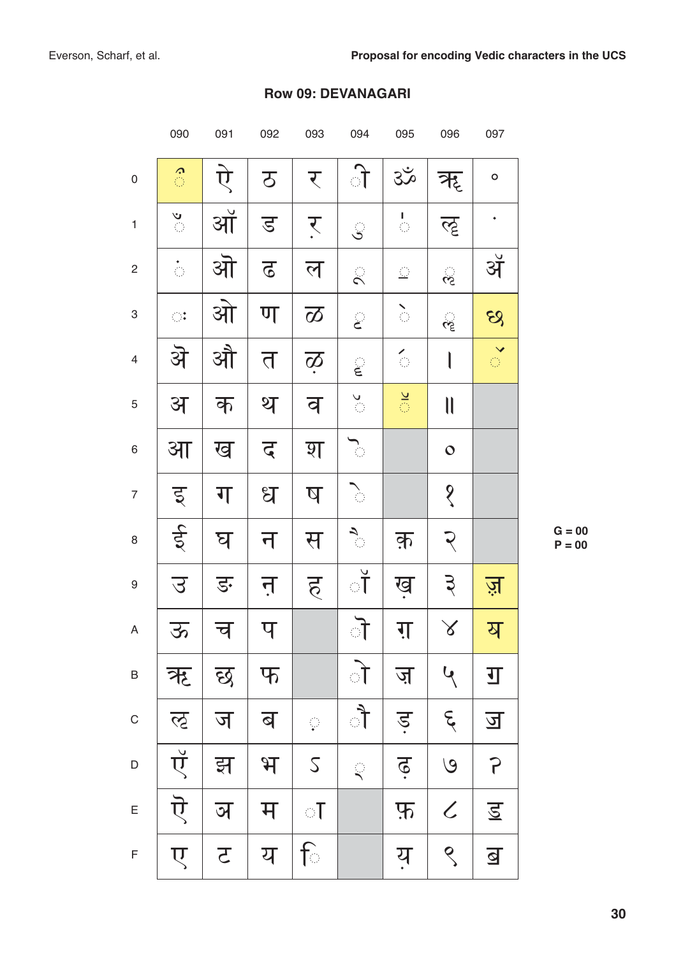|                     | 090                        | 091            | 092                     | 093                       | 094                   | 095                                | 096                      | 097                     |
|---------------------|----------------------------|----------------|-------------------------|---------------------------|-----------------------|------------------------------------|--------------------------|-------------------------|
| $\mathsf{O}\xspace$ | ऀ                          | ऐ              | ठ                       | र                         | ी                     | $3\zeta$                           | ऋ                        | $\mathsf{o}$            |
| $\mathbf{1}$        | $\sum_{i=1}^{n}$           | ऑ              | ड                       | र्                        | $\mathcal{S}$         | $\frac{1}{\mathbb{O}}$             | ॡ                        |                         |
| $\mathbf{2}$        |                            | ओ              | $\mathbf{P}$            | <u>ल</u>                  | $\sum_{i=1}^{n}$      | $\mathbin{\underline{\mathbb{C}}}$ | ૢ                        | ॲ                       |
| 3                   | $\mathcal{O}(\frac{1}{2})$ | ओ              | ण                       | $\overline{\infty}$       | $\hat{\mathbf{c}}$    |                                    | ૣ                        | <u>છે</u>               |
| $\overline{4}$      | ऄ                          | औ              | त                       | $\overline{\mathfrak{D}}$ | $\mathfrak{a}$        |                                    | I                        | ं                       |
| $\mathbf 5$         | अ                          | क              | थ                       | व                         | $\sum_{i=1}^{n}$      | $\sum_{i=1}^{n}$                   | $\mathbf l$              |                         |
| $\,6\,$             | आ                          | ख              | द                       | श                         | $\sum_{i=1}^n$        |                                    | $\mathbf O$              |                         |
| $\overline{7}$      | इ                          | ग              | ध                       | ष                         | $\sum_{i=1}^{\infty}$ |                                    | $\overline{\mathcal{S}}$ |                         |
| $\,8\,$             | ई                          | घ              | न                       | स                         | $\frac{1}{2}$         | क़                                 | $\mathcal{S}$            |                         |
| $\boldsymbol{9}$    | $\overline{\mathcal{Z}}$   | ङ              | ऩ                       | ह                         | ॉ                     | ख                                  | $\mathcal{F}$            | ज़                      |
| A                   | ऊ                          | च              | प                       |                           | ॊ                     | ग़                                 | $\alpha$                 | य                       |
| B                   | ऋ                          | छ              | $\overline{\mathbf{F}}$ |                           | ो                     | ज़                                 | પ્                       | $\mathbf{I}$            |
| $\mathsf{C}$        | $\overline{\mathfrak{S}}$  | ज              | ब                       | $\overline{\mathbb{Q}}$   | ौ                     | ड़                                 | $\mathcal{E}$            | $\overline{\mathbf{z}}$ |
| $\mathsf D$         | एँ                         | झ              | भ                       | $\mathcal{L}$             |                       | $\ddot{\Theta}$                    | $\overline{9}$           | $\mathsf{P}$            |
| E                   | ऎ                          | ञ              | म                       | ा                         |                       | $\overline{\mathbf{F}}$            | $\overline{\mathcal{C}}$ | $\overline{S}$          |
| $\mathsf F$         | ए                          | $\overline{S}$ | य                       | ि                         |                       | य                                  | $\mathcal{S}$            | $\overline{\mathbf{d}}$ |

#### **Row 09: DEVANAGARI**

**G = 00**  $P = 00$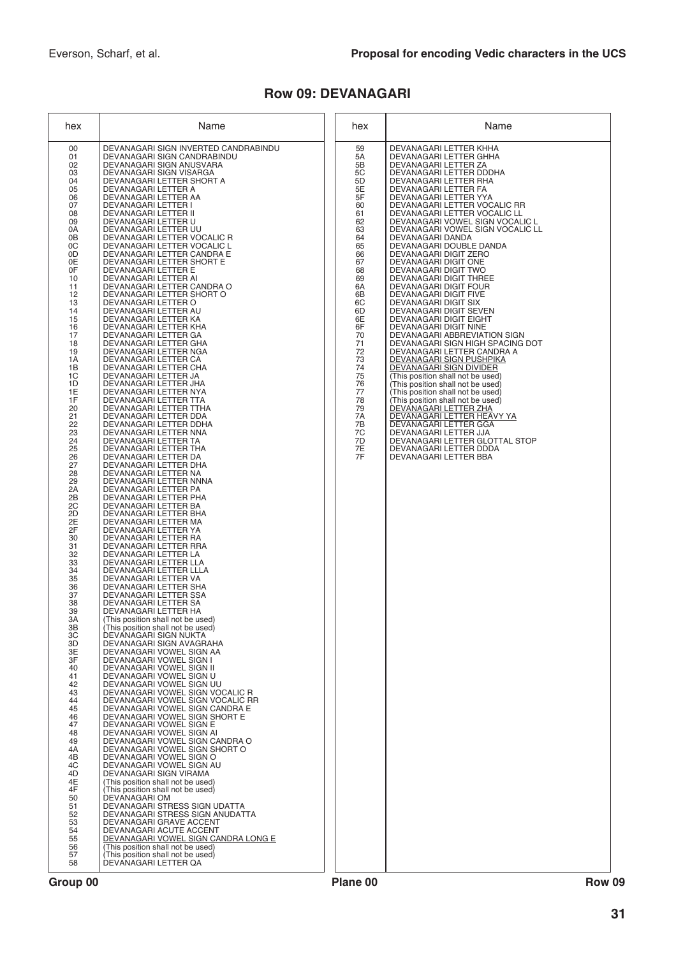#### **Row 09: DEVANAGARI**

| hex                                                                                                                                                                                                                                                                                                                                                                                                                                                                                                                                                                       | Name                                                                                                                                                                                                                                                                                                                                                                                                                                                                                                                                                                                                                                                                                                                                                                                                                                                                                                                                                                                                                                                                                                                                                                                                                                                                                                                                                                                                                                                                                                                                                                                                                                                                                                                                                                                                                                                                                                                                                                                                                                                                                                                                                                                                                                                                                                                                                                                                                                                                                                                                | hex                                                                                                                                                                                                                                    | Name                                                                                                                                                                                                                                                                                                                                                                                                                                                                                                                                                                                                                                                                                                                                                                                                                                                                                                                                                                                                                                                                                                                                                   |
|---------------------------------------------------------------------------------------------------------------------------------------------------------------------------------------------------------------------------------------------------------------------------------------------------------------------------------------------------------------------------------------------------------------------------------------------------------------------------------------------------------------------------------------------------------------------------|-------------------------------------------------------------------------------------------------------------------------------------------------------------------------------------------------------------------------------------------------------------------------------------------------------------------------------------------------------------------------------------------------------------------------------------------------------------------------------------------------------------------------------------------------------------------------------------------------------------------------------------------------------------------------------------------------------------------------------------------------------------------------------------------------------------------------------------------------------------------------------------------------------------------------------------------------------------------------------------------------------------------------------------------------------------------------------------------------------------------------------------------------------------------------------------------------------------------------------------------------------------------------------------------------------------------------------------------------------------------------------------------------------------------------------------------------------------------------------------------------------------------------------------------------------------------------------------------------------------------------------------------------------------------------------------------------------------------------------------------------------------------------------------------------------------------------------------------------------------------------------------------------------------------------------------------------------------------------------------------------------------------------------------------------------------------------------------------------------------------------------------------------------------------------------------------------------------------------------------------------------------------------------------------------------------------------------------------------------------------------------------------------------------------------------------------------------------------------------------------------------------------------------------|----------------------------------------------------------------------------------------------------------------------------------------------------------------------------------------------------------------------------------------|--------------------------------------------------------------------------------------------------------------------------------------------------------------------------------------------------------------------------------------------------------------------------------------------------------------------------------------------------------------------------------------------------------------------------------------------------------------------------------------------------------------------------------------------------------------------------------------------------------------------------------------------------------------------------------------------------------------------------------------------------------------------------------------------------------------------------------------------------------------------------------------------------------------------------------------------------------------------------------------------------------------------------------------------------------------------------------------------------------------------------------------------------------|
| 00<br>01<br>02<br>03<br>04<br>05<br>06<br>07<br>08<br>09<br>0A<br>0B<br>0C<br>0D<br>0E<br>0F<br>10<br>11<br>12<br>13<br>14<br>15<br>16<br>17<br>18<br>19<br>1A<br>1B<br>1C<br>1D<br>1E<br>1F<br>20<br>21<br>22<br>23<br>$\overline{24}$<br>25<br>26<br>27<br>28<br>29<br>2A<br>${}^{2B}_{2C}$<br>2D<br>2E<br>2F<br>30<br>31<br>32<br>$33\,$<br>34<br>35<br>36<br>37<br>38<br>39<br>ЗA<br>3B<br>3C<br>3D<br>3E<br>3F<br>40<br>41<br>42<br>43<br>44<br>45<br>46<br>47<br>48<br>49<br>4A<br>4B<br>4C<br>4D<br>4E<br>4F<br>50<br>51<br>52<br>53<br>54<br>55<br>56<br>57<br>58 | DEVANAGARI SIGN INVERTED CANDRABINDU<br>DEVANAGARI SIGN CANDRABINDU<br>DEVANAGARI SIGN ANUSVARA<br>DEVANAGARI SIGN VISARGA<br>DEVANAGARI LETTER SHORT A<br>DEVANAGARI LETTER A<br>DEVANAGARI LETTER AA<br>DEVANAGARI LETTER I<br>DEVANAGARI LETTER II<br>DEVANAGARI LETTER U<br>DEVANAGARI LETTER UU<br>DEVANAGARI LETTER VOCALIC R<br>DEVANAGARI LETTER VOCALIC L<br>DEVANAGARI LETTER CANDRA E<br>DEVANAGARI LETTER SHORT E<br>DEVANAGARI LETTER E<br>DEVANAGARI LETTER AI<br>DEVANAGARI LETTER CANDRA O<br>DEVANAGARI LETTER SHORT O<br>DEVANAGARI LETTER O<br>DEVANAGARI LETTER AU<br>DEVANAGARI LETTER KA<br>DEVANAGARI LETTER KHA<br>DEVANAGARI LETTER GA<br>DEVANAGARI LETTER GHA<br>DEVANAGARI LETTER NGA<br>DEVANAGARI LETTER CA<br>DEVANAGARI LETTER CHA<br>DEVANAGARI LETTER JA<br>DEVANAGARI LETTER JHA<br>DEVANAGARI LETTER NYA<br>DEVANAGARI LETTER TTA<br>DEVANAGARI LETTER TTHA<br>DEVANAGARI LETTER DDA<br>DEVANAGARI LETTER DDHA<br>DEVANAGARI LETTER NNA<br>DEVANAGARI LETTER TA<br>DEVANAGARI LETTER THA<br>DEVANAGARI LETTER DA<br>DEVANAGARI LETTER DHA<br>DEVANAGARI LETTER NA<br>DEVANAGARI LETTER NNNA<br>DEVANAGARI LETTER PA<br>DEVANAGARI LETTER PHA<br>DEVANAGARI LETTER BA<br>DEVANAGARI LETTER BHA<br>DEVANAGARI LETTER MA<br>DEVANAGARI LETTER YA<br>DEVANAGARI LETTER RA<br>DEVANAGARI LETTER RRA<br>DEVANAGARI LETTER LA<br>DEVANAGARI LETTER LLA<br>DEVANAGARI LETTER LLLA<br>DEVANAGARI LETTER VA<br>DEVANAGARI LETTER SHA<br>DEVANAGARI LETTER SSA<br>DEVANAGARI LETTER SA<br>DEVANAGARI LETTER HA<br>(This position shall not be used)<br>(This position shall not be used)<br>DEVANAGARI SIGN NUKTA<br>DEVANAGARI SIGN AVAGRAHA<br>DEVANAGARI VOWEL SIGN AA<br>DEVANAGARI VOWEL SIGN I<br>DEVANAGARI VOWEL SIGN II<br>DEVANAGARI VOWEL SIGN U<br>DEVANAGARI VOWEL SIGN UU<br>DEVANAGARI VOWEL SIGN VOCALIC R<br>DEVANAGARI VOWEL SIGN VOCALIC RR<br>DEVANAGARI VOWEL SIGN CANDRA E<br>DEVANAGARI VOWEL SIGN SHORT E<br>DEVANAGARI VOWEL SIGN E<br>DEVANAGARI VOWEL SIGN AI<br>DEVANAGARI VOWEL SIGN CANDRA O<br>DEVANAGARI VOWEL SIGN SHORT O<br>DEVANAGARI VOWEL SIGN O<br>DEVANAGARI VOWEL SIGN AU<br>DEVANAGARI SIGN VIRAMA<br>(This position shall not be used)<br>(This position shall not be used)<br>DEVANAGARI OM<br>DEVANAGARI STRESS SIGN UDATTA<br>DEVANAGARI STRESS SIGN ANUDATTA<br>DEVANAGARI GRAVE ACCENT<br>DEVANAGARI ACUTE ACCENT<br>DEVANAGARI VOWEL SIGN CANDRA LONG E<br>(This position shall not be used)<br>(This position shall not be used)<br>DEVANAGARI LETTER QA | 59<br>5A<br>5B<br>5C<br>5D<br>5E<br>5F<br>60<br>61<br>62<br>63<br>64<br>65<br>66<br>67<br>68<br>69<br>6A<br>6B<br>6C<br>6D<br>6E<br>6F<br>70<br>71<br>72<br>73<br>74<br>75<br>76<br>77<br>78<br>79<br>7A<br>7B<br>7C<br>7D<br>7E<br>7F | DEVANAGARI LETTER KHHA<br>DEVANAGARI LETTER GHHA<br>DEVANAGARI LETTER ZA<br>DEVANAGARI LETTER DDDHA<br>DEVANAGARI LETTER RHA<br>DEVANAGARI LETTER FA<br>DEVANAGARI LETTER YYA<br>DEVANAGARI LETTER VOCALIC RR<br>DEVANAGARI LETTER VOCALIC LL<br>DEVANAGARI VOWEL SIGN VOCALIC L<br>DEVANAGARI VOWEL SIGN VOCALIC LL<br>DEVANAGARI DANDA<br>DEVANAGARI DOUBLE DANDA<br>DEVANAGARI DIGIT ZERO<br>DEVANAGARI DIGIT ONE<br>DEVANAGARI DIGIT TWO<br>DEVANAGARI DIGIT THREE<br>DEVANAGARI DIGIT FOUR<br>DEVANAGARI DIGIT FIVE<br>DEVANAGARI DIGIT SIX<br>DEVANAGARI DIGIT SEVEN<br>DEVANAGARI DIGIT EIGHT<br>DEVANAGARI DIGIT NINE<br>DEVANAGARI ABBREVIATION SIGN<br>DEVANAGARI SIGN HIGH SPACING DOT<br>DEVANAGARI LETTER CANDRA A<br><u>DEVANAGARI SIGN PUSHPIKA</u><br>DEVANAGARI SIGN DIVIDER<br>(This position shall not be used)<br>(This position shall not be used)<br>(This position shall not be used)<br>(This position shall not be used)<br><b>DEVANAGARI LETTER ZHA</b><br>DEVANAGARI LETTER HEAVY YA<br>DEVANAGARI LETTER GGA<br>DEVANAGARI LETTER JJA<br>DEVANAGARI LETTER GLOTTAL STOP<br>DEVANAGARI LETTER DDDA<br>DEVANAGARI LETTER BBA |

**Group 00 Row 09** Report 20 Row 09 Row 20 Row 09 Row 09 Row 09 Row 09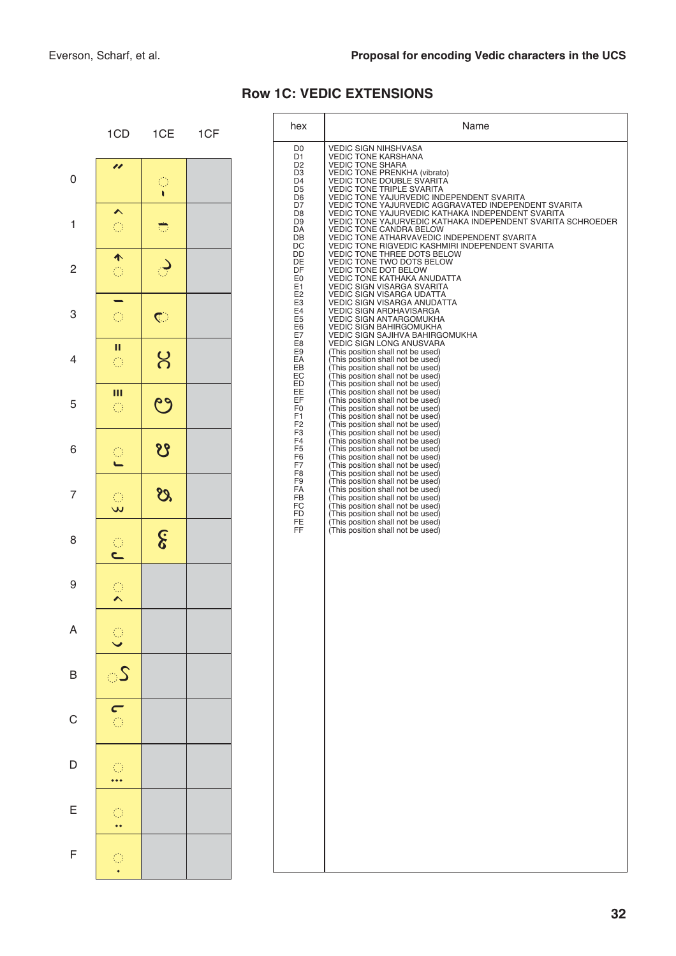#### **Row 1C: VEDIC EXTENSIONS**

 $\overline{a}$ 

|                     | 1CD                                                    | 1CE                        | 1CF | hex                                                                                                      | Name                                                                                                                                                                                                                                                        |
|---------------------|--------------------------------------------------------|----------------------------|-----|----------------------------------------------------------------------------------------------------------|-------------------------------------------------------------------------------------------------------------------------------------------------------------------------------------------------------------------------------------------------------------|
| $\mathsf{O}\xspace$ | $\overline{\prime}$                                    | $\bigcirc$                 |     | D <sub>0</sub><br>D <sub>1</sub><br>D <sub>2</sub><br>D <sub>3</sub><br>D <sub>4</sub><br>D <sub>5</sub> | <b>VEDIC SIGN NIHSHVASA</b><br><b>VEDIC TONE KARSHANA</b><br><b>VEDIC TONE SHARA</b><br>VEDIC TONE PRENKHA (vibrato)<br>VEDIC TONE DOUBLE SVARITA<br>VEDIC TONE TRIPLE SVARITA                                                                              |
| 1                   | ㅅ<br>e).                                               | $\mathbf{r}$<br>ै          |     | D <sub>6</sub><br>D7<br>D <sub>8</sub><br>D <sub>9</sub><br>DA                                           | VEDIC TONE YAJURVEDIC INDEPENDENT SVARITA<br>VEDIC TONE YAJURVEDIC AGGRAVATED INDEPENDENT SVARITA<br>VEDIC TONE YAJURVEDIC KATHAKA INDEPENDENT SVARITA<br>VEDIC TONE YAJURVEDIC KATHAKA INDEPENDENT SVARITA SCHROEDER<br>VEDIC TONE CANDRA BELOW            |
| $\overline{c}$      | 个<br>$\mathbb{R}^2$                                    |                            |     | DB<br>DC<br>DD<br>DE<br>DF<br>E <sub>0</sub>                                                             | VEDIC TONE ATHARVAVEDIC INDEPENDENT SVARITA<br>VEDIC TONE RIGVEDIC KASHMIRI INDEPENDENT SVARITA<br>VEDIC TONE THREE DOTS BELOW<br>VEDIC TONE TWO DOTS BELOW<br>VEDIC TONE DOT BELOW<br>VEDIC TONE KATHAKA ANUDATTA                                          |
| 3                   | $\mathcal{L}_{\mathcal{A}}$                            | $\mathbb{C}$               |     | E <sub>1</sub><br>E <sub>2</sub><br>E <sub>3</sub><br>E4<br>E <sub>5</sub><br>E <sub>6</sub>             | VEDIC SIGN VISARGA SVARITA<br>VEDIC SIGN VISARGA UDATTA<br>VEDIC SIGN VISARGA ANUDATTA<br>VEDIC SIGN ARDHAVISARGA<br>VEDIC SIGN ANTARGOMUKHA<br><b>VEDIC SIGN BAHIRGOMUKHA</b>                                                                              |
| 4                   | Ш<br>$\mathcal{O}_\mathcal{I}$                         | ႘                          |     | E7<br>E8<br>E9<br>EA<br>EB<br>EC                                                                         | VEDIC SIGN SAJIHVA BAHIRGOMUKHA<br><b>VEDIC SIGN LONG ANUSVARA</b><br>(This position shall not be used)<br>(This position shall not be used)<br>(This position shall not be used)<br>(This position shall not be used)<br>(This position shall not be used) |
| 5                   | Ш<br>$\langle \rangle$                                 | 69                         |     | ED <sub></sub><br>EE<br>EF<br>F <sub>0</sub><br>F1<br>F <sub>2</sub>                                     | (This position shall not be used)<br>(This position shall not be used)<br>(This position shall not be used)<br>(This position shall not be used)<br>(This position shall not be used)                                                                       |
| 6                   | $\mathcal{O}_{\mathcal{A}}$<br>ட                       | $\mathbf{8}$               |     | F <sub>3</sub><br>F <sub>4</sub><br>F <sub>5</sub><br>F <sub>6</sub><br>F7<br>F <sub>8</sub>             | (This position shall not be used)<br>(This position shall not be used)<br>(This position shall not be used)<br>(This position shall not be used)<br>(This position shall not be used)<br>(This position shall not be used)                                  |
| $\overline{7}$      | $\langle \cdot \rangle$<br>w                           | $\boldsymbol{\mathcal{S}}$ |     | F <sub>9</sub><br>FÄ<br>FB<br>FC<br>FD                                                                   | (This position shall not be used)<br>(This position shall not be used)<br>(This position shall not be used)<br>(This position shall not be used)<br>(This position shall not be used)<br>(This position shall not be used)                                  |
| 8                   | $\langle \rangle$<br>$\subset$                         | $\bm{\mathcal{E}}$         |     | FE<br>FF                                                                                                 | (This position shall not be used)                                                                                                                                                                                                                           |
| 9                   | $\mathcal{L}_{\mathcal{A}}$<br>$\leftarrow$            |                            |     |                                                                                                          |                                                                                                                                                                                                                                                             |
| $\mathsf A$         | Q                                                      |                            |     |                                                                                                          |                                                                                                                                                                                                                                                             |
| B                   | <u>ි S</u>                                             |                            |     |                                                                                                          |                                                                                                                                                                                                                                                             |
| $\mathsf C$         | $\tilde{\mathbf{C}}$                                   |                            |     |                                                                                                          |                                                                                                                                                                                                                                                             |
| D                   | $\mathcal{L}_{\mathcal{A}}$<br>$\bullet\bullet\bullet$ |                            |     |                                                                                                          |                                                                                                                                                                                                                                                             |
| Ε                   | $\mathcal{L}_{\mathcal{A}}$<br>$\bullet\,\bullet$      |                            |     |                                                                                                          |                                                                                                                                                                                                                                                             |
| F                   | $\mathbb{Z}^2$                                         |                            |     |                                                                                                          |                                                                                                                                                                                                                                                             |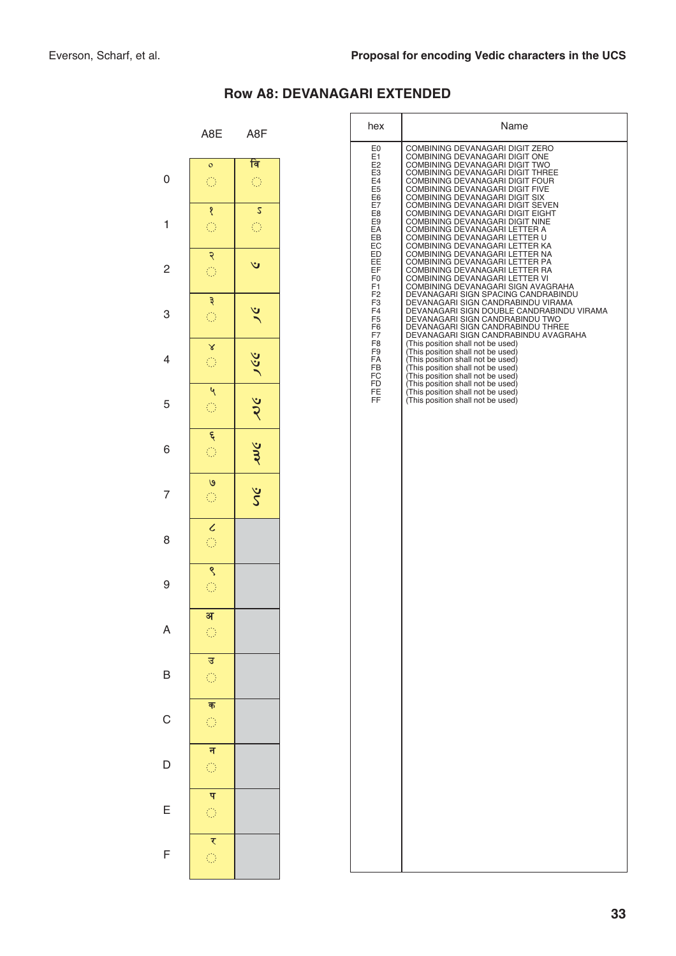|                | A8E                                                  | A8F                                                      |  |
|----------------|------------------------------------------------------|----------------------------------------------------------|--|
| $\mathbf 0$    | $\circ$<br>$\bigcirc$                                | वि<br>$\bigcirc$                                         |  |
| $\mathbf{1}$   | $\overline{\mathbf{S}}$<br>$\hat{\mathbb{Q}}$        | $\overline{S}$<br>$\langle \rangle$                      |  |
| $\overline{c}$ | र $\overline{\mathbf{z}}$<br>$\bigcirc$              | V                                                        |  |
| 3              | ३<br>$\bigcirc$                                      | $rac{1}{26}$                                             |  |
| $\overline{4}$ | $\checkmark$<br>$\frac{1}{2}$                        |                                                          |  |
| $\overline{5}$ | $\mathbf{b}$<br>$\bigcirc$                           |                                                          |  |
| 6              | $\frac{1}{2}$<br>$\bigcirc$                          | $\parallel$ 20 $\parallel$ 20 $\parallel$ 20 $\parallel$ |  |
| $\overline{7}$ | $\circ$<br>$\mathbb{Q}$                              | $\check{\mathsf{s}}$                                     |  |
| 8              | $\frac{1}{\sqrt{2}}$                                 |                                                          |  |
| 9              | $\overline{\mathcal{S}}$<br>$\hat{\mathbb{C}}$       |                                                          |  |
| $\overline{A}$ | अ<br>$\mathbb{C}$                                    |                                                          |  |
| B              | उ<br>$\bigcirc$                                      |                                                          |  |
| $\mathsf{C}$   | क<br>$\frac{1}{2}$                                   |                                                          |  |
| D              | न<br>$\mathbb{C}^2$                                  |                                                          |  |
| E              | प<br>$\mathbb{C}^{\mathbb{Z}}$                       |                                                          |  |
| F              | $\overline{\mathfrak{r}}$<br>$\overline{\mathbb{Q}}$ |                                                          |  |

|  | <b>Row A8: DEVANAGARI EXTENDED</b> |  |
|--|------------------------------------|--|
|--|------------------------------------|--|

| hex            | Name                                      |
|----------------|-------------------------------------------|
| E0             | COMBINING DEVANAGARI DIGIT ZERO           |
| E1             | COMBINING DEVANAGARI DIGIT ONE            |
| E <sub>2</sub> | COMBINING DEVANAGARI DIGIT TWO            |
| E3             | COMBINING DEVANAGARI DIGIT THREE          |
| E4             | COMBINING DEVANAGARI DIGIT FOUR           |
| E5             | COMBINING DEVANAGARI DIGIT FIVE           |
| E6             | COMBINING DEVANAGARI DIGIT SIX            |
| E7             | COMBINING DEVANAGARI DIGIT SEVEN          |
| E8             | COMBINING DEVANAGARI DIGIT EIGHT          |
| E9             | COMBINING DEVANAGARI DIGIT NINE           |
| EA             | COMBINING DEVANAGARI LETTER A             |
| EВ             | COMBINING DEVANAGARI LETTER U             |
| EС             | COMBINING DEVANAGARI LETTER KA            |
| ED             | COMBINING DEVANAGARI LETTER NA            |
| EE             | COMBINING DEVANAGARI LETTER PA            |
| EF             | COMBINING DEVANAGARI LETTER RA            |
| F0             | COMBINING DEVANAGARI LETTER VI            |
| F1             | COMBINING DEVANAGARI SIGN AVAGRAHA        |
| F <sub>2</sub> | DEVANAGARI SIGN SPACING CANDRABINDU       |
| F3             | DEVANAGARI SIGN CANDRABINDU VIRAMA        |
| F4             | DEVANAGARI SIGN DOUBLE CANDRABINDU VIRAMA |
| F <sub>5</sub> | DEVANAGARI SIGN CANDRABINDU TWO           |
| F <sub>6</sub> | DEVANAGARI SIGN CANDRABINDU THREE         |
| F7             | DEVANAGARI SIGN CANDRABINDU AVAGRAHA      |
| F8             | (This position shall not be used)         |
| F9             | (This position shall not be used)         |
| FA             | (This position shall not be used)         |
| FB             | (This position shall not be used)         |
| FC             | (This position shall not be used)         |
| FD             | (This position shall not be used)         |
| FE             | (This position shall not be used)         |
| FF             | (This position shall not be used)         |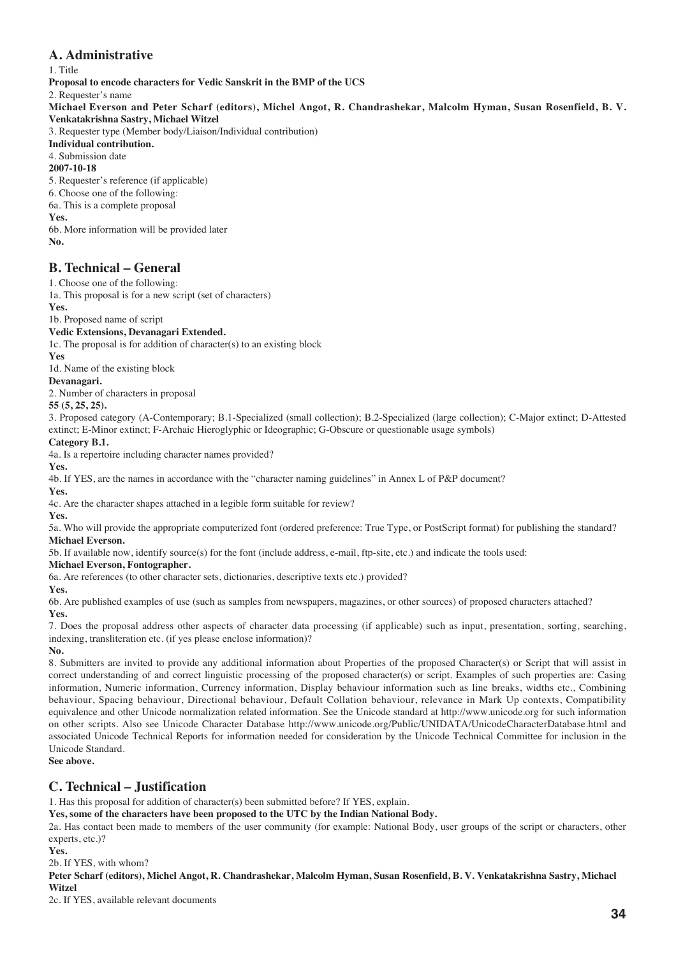#### **A. Administrative**

1. Title

**Proposal to encode characters for Vedic Sanskrit in the BMP of the UCS**

2. Requester's name

**Michael Everson and Peter Scharf (editors), Michel Angot, R. Chandrashekar, Malcolm Hyman, Susan Rosenfield, B. V. Venkatakrishna Sastry, Michael Witzel**

3. Requester type (Member body/Liaison/Individual contribution)

#### **Individual contribution.**

4. Submission date

#### **2007-10-18**

5. Requester's reference (if applicable)

6. Choose one of the following:

6a. This is a complete proposal

**Yes.**

6b. More information will be provided later **No.**

#### **B. Technical – General**

1. Choose one of the following:

1a. This proposal is for a new script (set of characters)

**Yes.**

1b. Proposed name of script

#### **Vedic Extensions, Devanagari Extended.**

1c. The proposal is for addition of character(s) to an existing block

**Yes**

1d. Name of the existing block

**Devanagari.**

2. Number of characters in proposal

#### **55 (5, 25, 25).**

3. Proposed category (A-Contemporary; B.1-Specialized (small collection); B.2-Specialized (large collection); C-Major extinct; D-Attested extinct; E-Minor extinct; F-Archaic Hieroglyphic or Ideographic; G-Obscure or questionable usage symbols)

#### **Category B.1.**

4a. Is a repertoire including character names provided?

**Yes.**

4b. If YES, are the names in accordance with the "character naming guidelines" in Annex L of P&P document?

**Yes.**

4c. Are the character shapes attached in a legible form suitable for review?

**Yes.**

5a. Who will provide the appropriate computerized font (ordered preference: True Type, or PostScript format) for publishing the standard? **Michael Everson.**

5b. If available now, identify source(s) for the font (include address, e-mail, ftp-site, etc.) and indicate the tools used:

#### **Michael Everson, Fontographer.**

6a. Are references (to other character sets, dictionaries, descriptive texts etc.) provided?

**Yes.**

6b. Are published examples of use (such as samples from newspapers, magazines, or other sources) of proposed characters attached? **Yes.**

7. Does the proposal address other aspects of character data processing (if applicable) such as input, presentation, sorting, searching, indexing, transliteration etc. (if yes please enclose information)?

**No.**

8. Submitters are invited to provide any additional information about Properties of the proposed Character(s) or Script that will assist in correct understanding of and correct linguistic processing of the proposed character(s) or script. Examples of such properties are: Casing information, Numeric information, Currency information, Display behaviour information such as line breaks, widths etc., Combining behaviour, Spacing behaviour, Directional behaviour, Default Collation behaviour, relevance in Mark Up contexts, Compatibility equivalence and other Unicode normalization related information. See the Unicode standard at http://www.unicode.org for such information on other scripts. Also see Unicode Character Database http://www.unicode.org/Public/UNIDATA/UnicodeCharacterDatabase.html and associated Unicode Technical Reports for information needed for consideration by the Unicode Technical Committee for inclusion in the Unicode Standard.

**See above.**

#### **C. Technical – Justification**

1. Has this proposal for addition of character(s) been submitted before? If YES, explain.

**Yes, some of the characters have been proposed to the UTC by the Indian National Body.**

2a. Has contact been made to members of the user community (for example: National Body, user groups of the script or characters, other experts, etc.)?

**Yes.**

2b. If YES, with whom?

**Peter Scharf (editors), Michel Angot, R. Chandrashekar, Malcolm Hyman, Susan Rosenfield, B. V. Venkatakrishna Sastry, Michael Witzel**

2c. If YES, available relevant documents